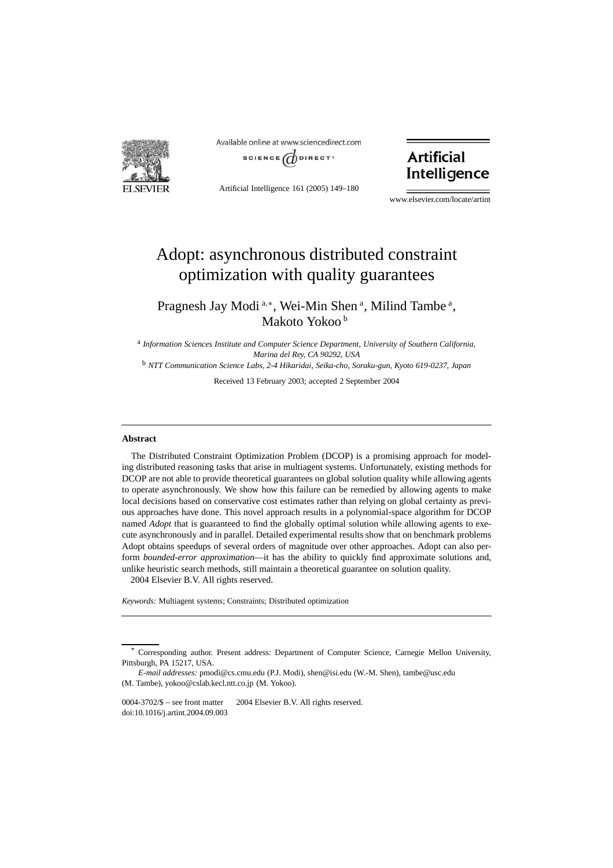

Available online at www.sciencedirect.com



Artificial Intelligence 161 (2005) 149–180



www.elsevier.com/locate/artint

# Adopt: asynchronous distributed constraint optimization with quality guarantees

Pragnesh Jay Modi<sup>a,\*</sup>, Wei-Min Shen<sup>a</sup>, Milind Tambe<sup>a</sup>, Makoto Yokoo<sup>b</sup>

<sup>a</sup> *Information Sciences Institute and Computer Science Department, University of Southern California, Marina del Rey, CA 90292, USA*

<sup>b</sup> *NTT Communication Science Labs, 2-4 Hikaridai, Seika-cho, Soraku-gun, Kyoto 619-0237, Japan*

Received 13 February 2003; accepted 2 September 2004

## **Abstract**

The Distributed Constraint Optimization Problem (DCOP) is a promising approach for modeling distributed reasoning tasks that arise in multiagent systems. Unfortunately, existing methods for DCOP are not able to provide theoretical guarantees on global solution quality while allowing agents to operate asynchronously. We show how this failure can be remedied by allowing agents to make local decisions based on conservative cost estimates rather than relying on global certainty as previous approaches have done. This novel approach results in a polynomial-space algorithm for DCOP named *Adopt* that is guaranteed to find the globally optimal solution while allowing agents to execute asynchronously and in parallel. Detailed experimental results show that on benchmark problems Adopt obtains speedups of several orders of magnitude over other approaches. Adopt can also perform *bounded-error approximation*—it has the ability to quickly find approximate solutions and, unlike heuristic search methods, still maintain a theoretical guarantee on solution quality. 2004 Elsevier B.V. All rights reserved.

*Keywords:* Multiagent systems; Constraints; Distributed optimization

<sup>\*</sup> Corresponding author. Present address: Department of Computer Science, Carnegie Mellon University, Pittsburgh, PA 15217, USA.

*E-mail addresses:* pmodi@cs.cmu.edu (P.J. Modi), shen@isi.edu (W.-M. Shen), tambe@usc.edu (M. Tambe), yokoo@cslab.kecl.ntt.co.jp (M. Yokoo).

<sup>0004-3702/\$ –</sup> see front matter © 2004 Elsevier B.V. All rights reserved. doi:10.1016/j.artint.2004.09.003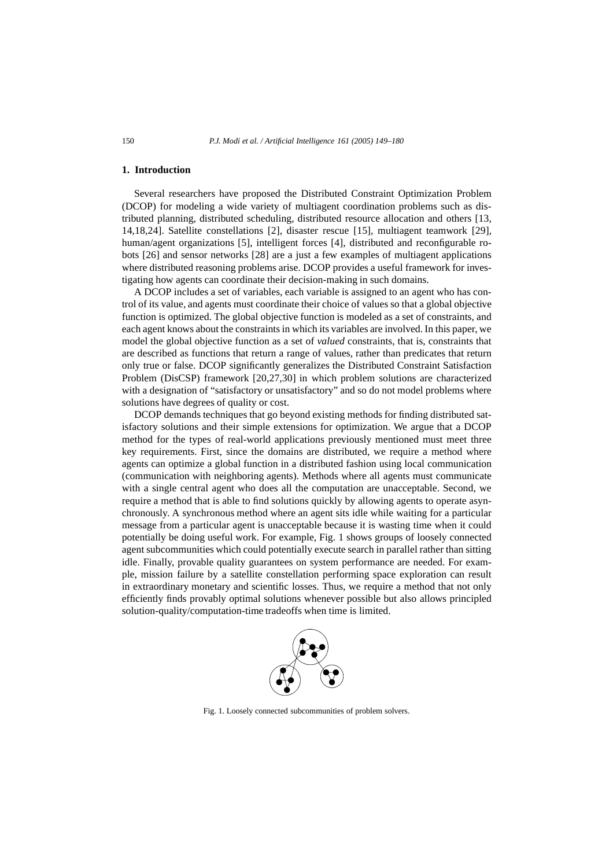# **1. Introduction**

Several researchers have proposed the Distributed Constraint Optimization Problem (DCOP) for modeling a wide variety of multiagent coordination problems such as distributed planning, distributed scheduling, distributed resource allocation and others [13, 14,18,24]. Satellite constellations [2], disaster rescue [15], multiagent teamwork [29], human/agent organizations [5], intelligent forces [4], distributed and reconfigurable robots [26] and sensor networks [28] are a just a few examples of multiagent applications where distributed reasoning problems arise. DCOP provides a useful framework for investigating how agents can coordinate their decision-making in such domains.

A DCOP includes a set of variables, each variable is assigned to an agent who has control of its value, and agents must coordinate their choice of values so that a global objective function is optimized. The global objective function is modeled as a set of constraints, and each agent knows about the constraints in which its variables are involved. In this paper, we model the global objective function as a set of *valued* constraints, that is, constraints that are described as functions that return a range of values, rather than predicates that return only true or false. DCOP significantly generalizes the Distributed Constraint Satisfaction Problem (DisCSP) framework [20,27,30] in which problem solutions are characterized with a designation of "satisfactory or unsatisfactory" and so do not model problems where solutions have degrees of quality or cost.

DCOP demands techniques that go beyond existing methods for finding distributed satisfactory solutions and their simple extensions for optimization. We argue that a DCOP method for the types of real-world applications previously mentioned must meet three key requirements. First, since the domains are distributed, we require a method where agents can optimize a global function in a distributed fashion using local communication (communication with neighboring agents). Methods where all agents must communicate with a single central agent who does all the computation are unacceptable. Second, we require a method that is able to find solutions quickly by allowing agents to operate asynchronously. A synchronous method where an agent sits idle while waiting for a particular message from a particular agent is unacceptable because it is wasting time when it could potentially be doing useful work. For example, Fig. 1 shows groups of loosely connected agent subcommunities which could potentially execute search in parallel rather than sitting idle. Finally, provable quality guarantees on system performance are needed. For example, mission failure by a satellite constellation performing space exploration can result in extraordinary monetary and scientific losses. Thus, we require a method that not only efficiently finds provably optimal solutions whenever possible but also allows principled solution-quality/computation-time tradeoffs when time is limited.



Fig. 1. Loosely connected subcommunities of problem solvers.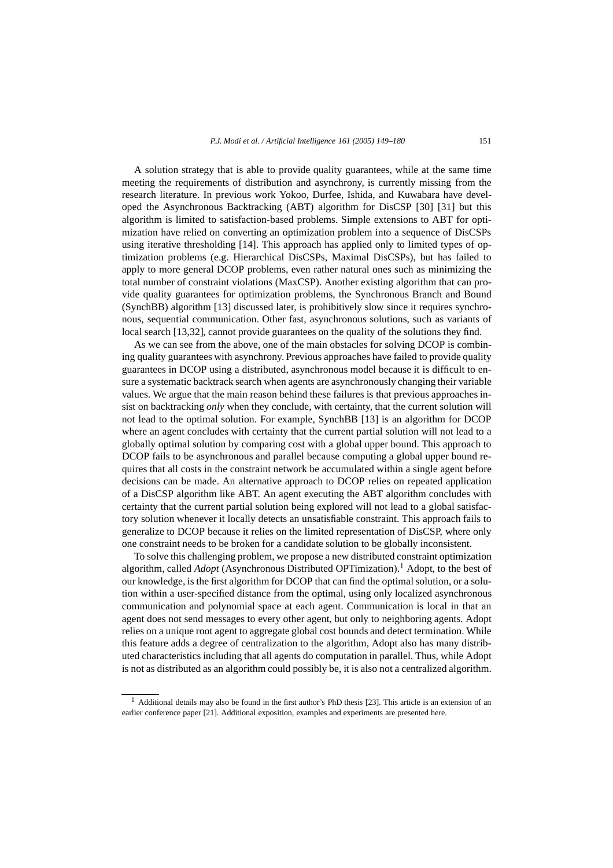A solution strategy that is able to provide quality guarantees, while at the same time meeting the requirements of distribution and asynchrony, is currently missing from the research literature. In previous work Yokoo, Durfee, Ishida, and Kuwabara have developed the Asynchronous Backtracking (ABT) algorithm for DisCSP [30] [31] but this algorithm is limited to satisfaction-based problems. Simple extensions to ABT for optimization have relied on converting an optimization problem into a sequence of DisCSPs using iterative thresholding [14]. This approach has applied only to limited types of optimization problems (e.g. Hierarchical DisCSPs, Maximal DisCSPs), but has failed to apply to more general DCOP problems, even rather natural ones such as minimizing the total number of constraint violations (MaxCSP). Another existing algorithm that can provide quality guarantees for optimization problems, the Synchronous Branch and Bound (SynchBB) algorithm [13] discussed later, is prohibitively slow since it requires synchronous, sequential communication. Other fast, asynchronous solutions, such as variants of local search [13,32], cannot provide guarantees on the quality of the solutions they find.

As we can see from the above, one of the main obstacles for solving DCOP is combining quality guarantees with asynchrony. Previous approaches have failed to provide quality guarantees in DCOP using a distributed, asynchronous model because it is difficult to ensure a systematic backtrack search when agents are asynchronously changing their variable values. We argue that the main reason behind these failures is that previous approaches insist on backtracking *only* when they conclude, with certainty, that the current solution will not lead to the optimal solution. For example, SynchBB [13] is an algorithm for DCOP where an agent concludes with certainty that the current partial solution will not lead to a globally optimal solution by comparing cost with a global upper bound. This approach to DCOP fails to be asynchronous and parallel because computing a global upper bound requires that all costs in the constraint network be accumulated within a single agent before decisions can be made. An alternative approach to DCOP relies on repeated application of a DisCSP algorithm like ABT. An agent executing the ABT algorithm concludes with certainty that the current partial solution being explored will not lead to a global satisfactory solution whenever it locally detects an unsatisfiable constraint. This approach fails to generalize to DCOP because it relies on the limited representation of DisCSP, where only one constraint needs to be broken for a candidate solution to be globally inconsistent.

To solve this challenging problem, we propose a new distributed constraint optimization algorithm, called *Adopt* (Asynchronous Distributed OPTimization).<sup>1</sup> Adopt, to the best of our knowledge, is the first algorithm for DCOP that can find the optimal solution, or a solution within a user-specified distance from the optimal, using only localized asynchronous communication and polynomial space at each agent. Communication is local in that an agent does not send messages to every other agent, but only to neighboring agents. Adopt relies on a unique root agent to aggregate global cost bounds and detect termination. While this feature adds a degree of centralization to the algorithm, Adopt also has many distributed characteristics including that all agents do computation in parallel. Thus, while Adopt is not as distributed as an algorithm could possibly be, it is also not a centralized algorithm.

 $<sup>1</sup>$  Additional details may also be found in the first author's PhD thesis [23]. This article is an extension of an</sup> earlier conference paper [21]. Additional exposition, examples and experiments are presented here.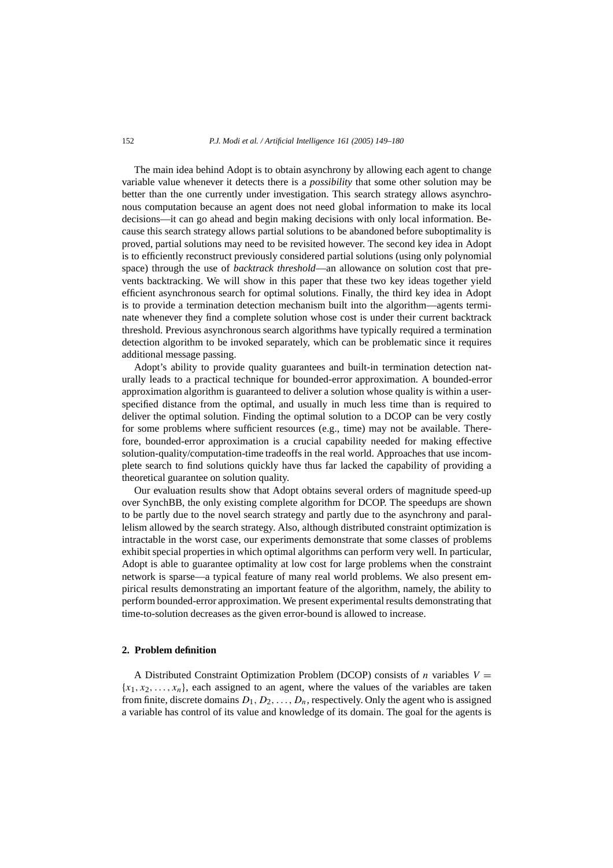The main idea behind Adopt is to obtain asynchrony by allowing each agent to change variable value whenever it detects there is a *possibility* that some other solution may be better than the one currently under investigation. This search strategy allows asynchronous computation because an agent does not need global information to make its local decisions—it can go ahead and begin making decisions with only local information. Because this search strategy allows partial solutions to be abandoned before suboptimality is proved, partial solutions may need to be revisited however. The second key idea in Adopt is to efficiently reconstruct previously considered partial solutions (using only polynomial space) through the use of *backtrack threshold*—an allowance on solution cost that prevents backtracking. We will show in this paper that these two key ideas together yield efficient asynchronous search for optimal solutions. Finally, the third key idea in Adopt is to provide a termination detection mechanism built into the algorithm—agents terminate whenever they find a complete solution whose cost is under their current backtrack threshold. Previous asynchronous search algorithms have typically required a termination detection algorithm to be invoked separately, which can be problematic since it requires additional message passing.

Adopt's ability to provide quality guarantees and built-in termination detection naturally leads to a practical technique for bounded-error approximation. A bounded-error approximation algorithm is guaranteed to deliver a solution whose quality is within a userspecified distance from the optimal, and usually in much less time than is required to deliver the optimal solution. Finding the optimal solution to a DCOP can be very costly for some problems where sufficient resources (e.g., time) may not be available. Therefore, bounded-error approximation is a crucial capability needed for making effective solution-quality/computation-time tradeoffs in the real world. Approaches that use incomplete search to find solutions quickly have thus far lacked the capability of providing a theoretical guarantee on solution quality.

Our evaluation results show that Adopt obtains several orders of magnitude speed-up over SynchBB, the only existing complete algorithm for DCOP. The speedups are shown to be partly due to the novel search strategy and partly due to the asynchrony and parallelism allowed by the search strategy. Also, although distributed constraint optimization is intractable in the worst case, our experiments demonstrate that some classes of problems exhibit special properties in which optimal algorithms can perform very well. In particular, Adopt is able to guarantee optimality at low cost for large problems when the constraint network is sparse—a typical feature of many real world problems. We also present empirical results demonstrating an important feature of the algorithm, namely, the ability to perform bounded-error approximation. We present experimental results demonstrating that time-to-solution decreases as the given error-bound is allowed to increase.

# **2. Problem definition**

A Distributed Constraint Optimization Problem (DCOP) consists of *n* variables  $V =$  ${x_1, x_2, \ldots, x_n}$ , each assigned to an agent, where the values of the variables are taken from finite, discrete domains  $D_1, D_2, \ldots, D_n$ , respectively. Only the agent who is assigned a variable has control of its value and knowledge of its domain. The goal for the agents is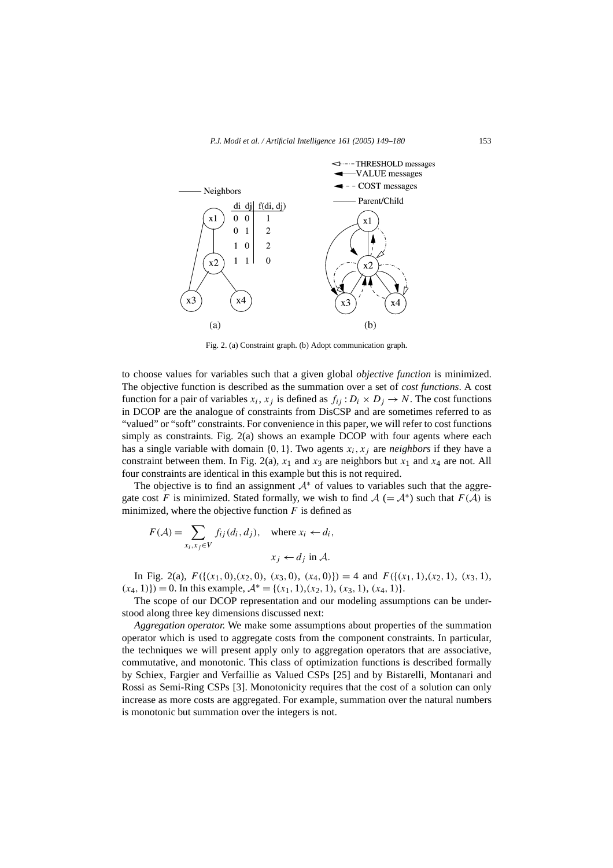

Fig. 2. (a) Constraint graph. (b) Adopt communication graph.

to choose values for variables such that a given global *objective function* is minimized. The objective function is described as the summation over a set of *cost functions*. A cost function for a pair of variables  $x_i$ ,  $x_j$  is defined as  $f_{ij}: D_i \times D_j \to N$ . The cost functions in DCOP are the analogue of constraints from DisCSP and are sometimes referred to as "valued" or "soft" constraints. For convenience in this paper, we will refer to cost functions simply as constraints. Fig. 2(a) shows an example DCOP with four agents where each has a single variable with domain  $\{0, 1\}$ . Two agents  $x_i, x_j$  are *neighbors* if they have a constraint between them. In Fig. 2(a),  $x_1$  and  $x_3$  are neighbors but  $x_1$  and  $x_4$  are not. All four constraints are identical in this example but this is not required.

The objective is to find an assignment  $A^*$  of values to variables such that the aggregate cost *F* is minimized. Stated formally, we wish to find  $\mathcal{A} (= \mathcal{A}^*)$  such that  $F(\mathcal{A})$  is minimized, where the objective function  $F$  is defined as

$$
F(\mathcal{A}) = \sum_{x_i, x_j \in V} f_{ij}(d_i, d_j), \quad \text{where } x_i \leftarrow d_i,
$$

$$
x_j \leftarrow d_j \text{ in } \mathcal{A}.
$$

In Fig. 2(a),  $F({(x_1, 0), (x_2, 0), (x_3, 0), (x_4, 0)}) = 4$  and  $F({(x_1, 1), (x_2, 1), (x_3, 1)},$  $(x_4, 1)$ } $) = 0$ . In this example,  $\mathcal{A}^* = \{(x_1, 1), (x_2, 1), (x_3, 1), (x_4, 1)\}.$ 

The scope of our DCOP representation and our modeling assumptions can be understood along three key dimensions discussed next:

*Aggregation operator.* We make some assumptions about properties of the summation operator which is used to aggregate costs from the component constraints. In particular, the techniques we will present apply only to aggregation operators that are associative, commutative, and monotonic. This class of optimization functions is described formally by Schiex, Fargier and Verfaillie as Valued CSPs [25] and by Bistarelli, Montanari and Rossi as Semi-Ring CSPs [3]. Monotonicity requires that the cost of a solution can only increase as more costs are aggregated. For example, summation over the natural numbers is monotonic but summation over the integers is not.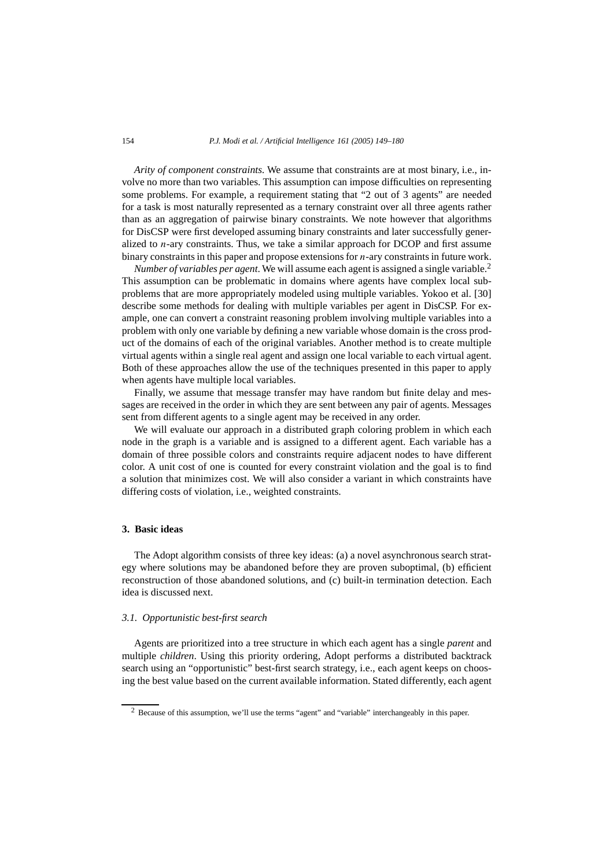*Arity of component constraints.* We assume that constraints are at most binary, i.e., involve no more than two variables. This assumption can impose difficulties on representing some problems. For example, a requirement stating that "2 out of 3 agents" are needed for a task is most naturally represented as a ternary constraint over all three agents rather than as an aggregation of pairwise binary constraints. We note however that algorithms for DisCSP were first developed assuming binary constraints and later successfully generalized to *n*-ary constraints. Thus, we take a similar approach for DCOP and first assume binary constraints in this paper and propose extensions for *n*-ary constraints in future work.

*Number of variables per agent*. We will assume each agent is assigned a single variable.<sup>2</sup> This assumption can be problematic in domains where agents have complex local subproblems that are more appropriately modeled using multiple variables. Yokoo et al. [30] describe some methods for dealing with multiple variables per agent in DisCSP. For example, one can convert a constraint reasoning problem involving multiple variables into a problem with only one variable by defining a new variable whose domain is the cross product of the domains of each of the original variables. Another method is to create multiple virtual agents within a single real agent and assign one local variable to each virtual agent. Both of these approaches allow the use of the techniques presented in this paper to apply when agents have multiple local variables.

Finally, we assume that message transfer may have random but finite delay and messages are received in the order in which they are sent between any pair of agents. Messages sent from different agents to a single agent may be received in any order.

We will evaluate our approach in a distributed graph coloring problem in which each node in the graph is a variable and is assigned to a different agent. Each variable has a domain of three possible colors and constraints require adjacent nodes to have different color. A unit cost of one is counted for every constraint violation and the goal is to find a solution that minimizes cost. We will also consider a variant in which constraints have differing costs of violation, i.e., weighted constraints.

# **3. Basic ideas**

The Adopt algorithm consists of three key ideas: (a) a novel asynchronous search strategy where solutions may be abandoned before they are proven suboptimal, (b) efficient reconstruction of those abandoned solutions, and (c) built-in termination detection. Each idea is discussed next.

# *3.1. Opportunistic best-first search*

Agents are prioritized into a tree structure in which each agent has a single *parent* and multiple *children*. Using this priority ordering, Adopt performs a distributed backtrack search using an "opportunistic" best-first search strategy, i.e., each agent keeps on choosing the best value based on the current available information. Stated differently, each agent

<sup>2</sup> Because of this assumption, we'll use the terms "agent" and "variable" interchangeably in this paper.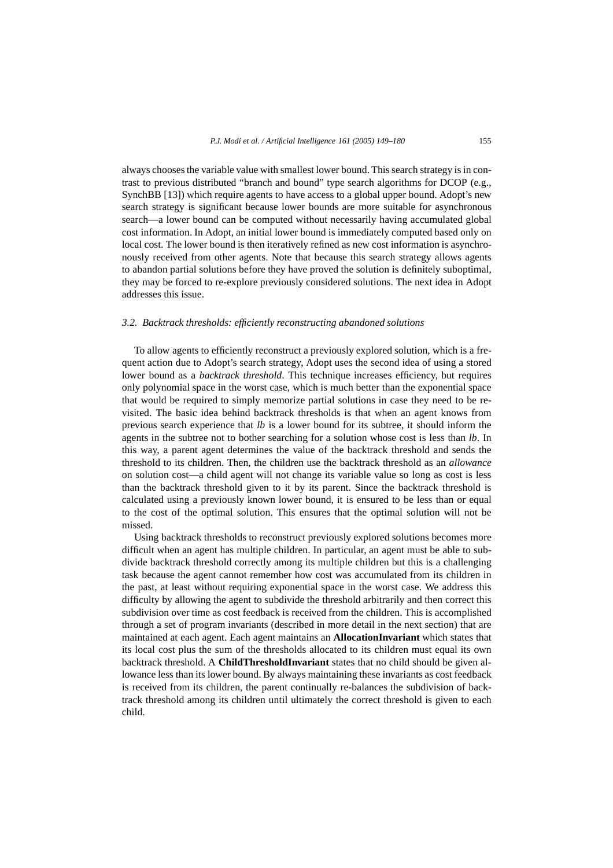always chooses the variable value with smallest lower bound. This search strategy is in contrast to previous distributed "branch and bound" type search algorithms for DCOP (e.g., SynchBB [13]) which require agents to have access to a global upper bound. Adopt's new search strategy is significant because lower bounds are more suitable for asynchronous search—a lower bound can be computed without necessarily having accumulated global cost information. In Adopt, an initial lower bound is immediately computed based only on local cost. The lower bound is then iteratively refined as new cost information is asynchronously received from other agents. Note that because this search strategy allows agents to abandon partial solutions before they have proved the solution is definitely suboptimal, they may be forced to re-explore previously considered solutions. The next idea in Adopt addresses this issue.

# *3.2. Backtrack thresholds: efficiently reconstructing abandoned solutions*

To allow agents to efficiently reconstruct a previously explored solution, which is a frequent action due to Adopt's search strategy, Adopt uses the second idea of using a stored lower bound as a *backtrack threshold*. This technique increases efficiency, but requires only polynomial space in the worst case, which is much better than the exponential space that would be required to simply memorize partial solutions in case they need to be revisited. The basic idea behind backtrack thresholds is that when an agent knows from previous search experience that *lb* is a lower bound for its subtree, it should inform the agents in the subtree not to bother searching for a solution whose cost is less than *lb*. In this way, a parent agent determines the value of the backtrack threshold and sends the threshold to its children. Then, the children use the backtrack threshold as an *allowance* on solution cost—a child agent will not change its variable value so long as cost is less than the backtrack threshold given to it by its parent. Since the backtrack threshold is calculated using a previously known lower bound, it is ensured to be less than or equal to the cost of the optimal solution. This ensures that the optimal solution will not be missed.

Using backtrack thresholds to reconstruct previously explored solutions becomes more difficult when an agent has multiple children. In particular, an agent must be able to subdivide backtrack threshold correctly among its multiple children but this is a challenging task because the agent cannot remember how cost was accumulated from its children in the past, at least without requiring exponential space in the worst case. We address this difficulty by allowing the agent to subdivide the threshold arbitrarily and then correct this subdivision over time as cost feedback is received from the children. This is accomplished through a set of program invariants (described in more detail in the next section) that are maintained at each agent. Each agent maintains an **AllocationInvariant** which states that its local cost plus the sum of the thresholds allocated to its children must equal its own backtrack threshold. A **ChildThresholdInvariant** states that no child should be given allowance less than its lower bound. By always maintaining these invariants as cost feedback is received from its children, the parent continually re-balances the subdivision of backtrack threshold among its children until ultimately the correct threshold is given to each child.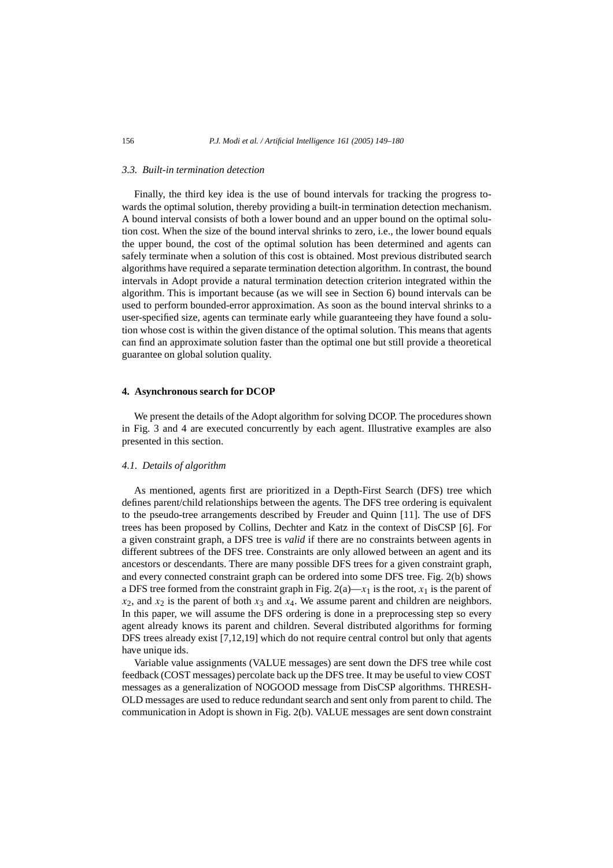## *3.3. Built-in termination detection*

Finally, the third key idea is the use of bound intervals for tracking the progress towards the optimal solution, thereby providing a built-in termination detection mechanism. A bound interval consists of both a lower bound and an upper bound on the optimal solution cost. When the size of the bound interval shrinks to zero, i.e., the lower bound equals the upper bound, the cost of the optimal solution has been determined and agents can safely terminate when a solution of this cost is obtained. Most previous distributed search algorithms have required a separate termination detection algorithm. In contrast, the bound intervals in Adopt provide a natural termination detection criterion integrated within the algorithm. This is important because (as we will see in Section 6) bound intervals can be used to perform bounded-error approximation. As soon as the bound interval shrinks to a user-specified size, agents can terminate early while guaranteeing they have found a solution whose cost is within the given distance of the optimal solution. This means that agents can find an approximate solution faster than the optimal one but still provide a theoretical guarantee on global solution quality.

# **4. Asynchronous search for DCOP**

We present the details of the Adopt algorithm for solving DCOP. The procedures shown in Fig. 3 and 4 are executed concurrently by each agent. Illustrative examples are also presented in this section.

# *4.1. Details of algorithm*

As mentioned, agents first are prioritized in a Depth-First Search (DFS) tree which defines parent/child relationships between the agents. The DFS tree ordering is equivalent to the pseudo-tree arrangements described by Freuder and Quinn [11]. The use of DFS trees has been proposed by Collins, Dechter and Katz in the context of DisCSP [6]. For a given constraint graph, a DFS tree is *valid* if there are no constraints between agents in different subtrees of the DFS tree. Constraints are only allowed between an agent and its ancestors or descendants. There are many possible DFS trees for a given constraint graph, and every connected constraint graph can be ordered into some DFS tree. Fig. 2(b) shows a DFS tree formed from the constraint graph in Fig.  $2(a)$ — $x_1$  is the root,  $x_1$  is the parent of  $x_2$ , and  $x_2$  is the parent of both  $x_3$  and  $x_4$ . We assume parent and children are neighbors. In this paper, we will assume the DFS ordering is done in a preprocessing step so every agent already knows its parent and children. Several distributed algorithms for forming DFS trees already exist [7,12,19] which do not require central control but only that agents have unique ids.

Variable value assignments (VALUE messages) are sent down the DFS tree while cost feedback (COST messages) percolate back up the DFS tree. It may be useful to view COST messages as a generalization of NOGOOD message from DisCSP algorithms. THRESH-OLD messages are used to reduce redundant search and sent only from parent to child. The communication in Adopt is shown in Fig. 2(b). VALUE messages are sent down constraint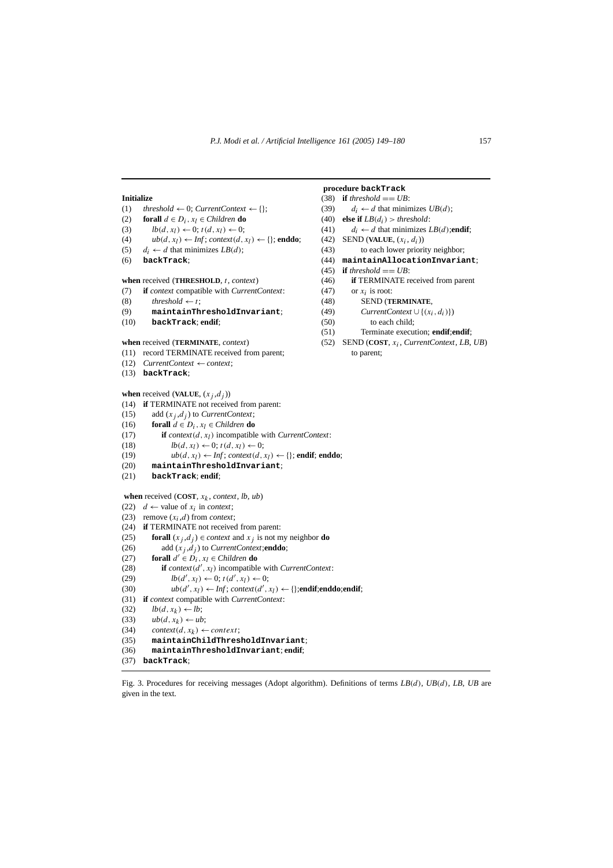## **Initialize**

- (1) *threshold*  $\leftarrow$  0; *CurrentContext*  $\leftarrow$  {};
- (2) **forall**  $d \in D_i$ ,  $x_l \in Children$  **do**
- (3)  $\qquad \qquad lb(d, x_l) \leftarrow 0; t(d, x_l) \leftarrow 0;$ <br>
(4)  $\qquad \qquad ub(d, x_l) \leftarrow Inf; context(d, x_l)$
- (4)  $ub(d, x_l) \leftarrow Inf$ ; *context* $(d, x_l) \leftarrow \{\}$ ; **enddo**;<br>(5)  $d_i \leftarrow d$  that minimizes *LB*(*d*);
- $d_i \leftarrow d$  that minimizes *LB*(*d*);
- (6) **backTrack**;

#### **when** received (**THRESHOLD**, *t*, *context*)

- (7) **if** *context* compatible with *CurrentContext*:
- (8)  $threshold \leftarrow t$ ;
- (9) **maintainThresholdInvariant**;
- (10) **backTrack**; **endif**;

#### **when** received (**TERMINATE**, *context*)

- (11) record TERMINATE received from parent;
- (12) *CurrentContext* ← *context*;
- (13) **backTrack**;

## **when** received (**VALUE**,  $(x_j, d_j)$ )

- (14) **if** TERMINATE not received from parent:
- (15) add  $(x_j, d_j)$  to *CurrentContext*;<br>(16) **forall**  $d \in D_i$ ,  $x_l \in Children$  **do**
- forall  $d \in D_i$ ,  $x_l \in Children$  **do**
- (17) **if**  $context(d, x_l)$  incompatible with  $CurrentContext$ :
- (18)  $\begin{array}{ll} lb(d, x_l) \leftarrow 0; t(d, x_l) \leftarrow 0; \\ (19) & ub(d, x_l) \leftarrow Inf; context(d, x_l) \end{array}$
- $ub(d, x_l) \leftarrow Inf$ ; *context* $(d, x_l) \leftarrow \{\}$ ; **endif**; **enddo**;
- (20) **maintainThresholdInvariant**;
- (21) **backTrack**; **endif**;

#### **when** received (COST,  $x_k$ , *context*, *lb*, *ub*)

- (22)  $d \leftarrow$  value of  $x_i$  in *context*;
- (23) remove  $(x_i, d)$  from *context*;
- (24) **if** TERMINATE not received from parent:
- (25) **forall**  $(x_j, d_j) \in \text{context}$  and  $x_j$  is not my neighbor **do**
- (26) add  $(\dot{x}_j, \dot{d}_j)$  to *CurrentContext*;**enddo**;<br>(27) **forall**  $d' \in D_i$ ,  $x_l \in Children$  **do**
- (27) **forall**  $d' \in D_i$ ,  $x_l \in Children$  **do**<br>(28) **if** *context*( $d', x_l$ ) incompatible
- (28) **if**  $context(d', x_l)$  incompatible with  $CurrentContext$ :
- (29) *lb*(*d'*, *x*<sub>*l*</sub>) ← 0; *t*(*d'*, *x*<sub>*l*</sub>) ← 0;
- (30)  $ub(d', x_l) \leftarrow Inf$ ;  $context(d', x_l) \leftarrow \{\}$ ;**endif**;**enddo;endif**;
- (31) **if** *context* compatible with *CurrentContext*:
- $(32)$   $lb(d, x_k) \leftarrow lb;$
- $(33)$   $ub(d, x_k) \leftarrow ub;$
- 
- (34)  $context(d, x_k) \leftarrow context;$ <br>(35) **maintainChildThres** (35) **maintainChildThresholdInvariant**;
- (36) **maintainThresholdInvariant**; **endif**;
- (37) **backTrack**;

#### **procedure backTrack**

- (38) **if** *threshold*  $==$  *UB*:
- (39)  $d_i \leftarrow d$  that minimizes *UB*(*d*);<br>(40) **else if** *LB*(*d<sub>i</sub>*) > *threshold*:
- (40) **else if**  $LB(d_i) > threshold$ :<br>(41)  $d_i \leftarrow d$  that minimizes *l* 
	- $d_i \leftarrow d$  that minimizes *LB*(*d*); **endif**;
- (42) SEND (**VALUE**,  $(x_i, d_i)$ )<br>(43) to each lower priori
- to each lower priority neighbor;
- (44) **maintainAllocationInvariant**;
- $(45)$  **if** *threshold*  $==$  *UB*:
- (46) **if** TERMINATE received from parent
- (47) or  $x_i$  is root:
- (48) SEND (**TERMINATE**,
- (49) *CurrentContext*  $\cup$  { $(x_i, d_i)$ })
- (50) to each child;
- (51) Terminate execution; **endif**;**endif**;
- (52) SEND (**COST**, *xi*, *CurrentContext*, *LB*, *UB*) to parent;

Fig. 3. Procedures for receiving messages (Adopt algorithm). Definitions of terms *LB(d)*, *UB(d)*, *LB*, *UB* are given in the text.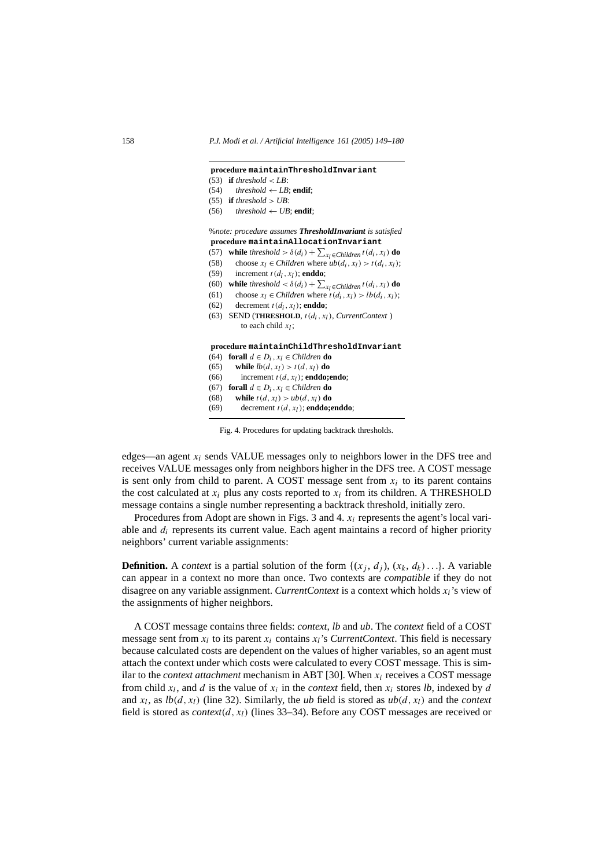```
procedure maintainThresholdInvariant
(53) if threshold \langle LB:
(54) threshold \leftarrow LB; endif;
(55) if threshold > UB:
(56) threshold \leftarrow UB; endif;
%note: procedure assumes ThresholdInvariant is satisfied
procedure maintainAllocationInvariant
(57) while threshold > \delta(d_i) + \sum_{x_i \in Children} t(d_i, x_i) do
(58) choose x_l \in Children where ub(d_i, x_l) > t(d_i, x_l);
(59) increment t(d_i, x_l); enddo;
(60) while threshold <\delta(d_i) + \sum_{x_l \in Children} t(d_i, x_l) do
(61) choose x_l \in Children where t(d_i, x_l) > lb(d_i, x_l);<br>(62) decrement t(d_i, x_l); enddo;
        decrement t(d_i, x_l); enddo;
(63) SEND (THRESHOLD, t (di, xl), CurrentContext )
          to each child x_l;
procedure maintainChildThresholdInvariant
(64) forall d \in D_i, x_l \in Children do
(65) while lb(d, x_l) > t(d, x_l) do<br>(66) increment t(d, x_l): enddo:
          increment t(d, x_l); enddo;endo;
(67) forall d \in D_i, x_l \in Children do
(68) while t(d, x_l) > ub(d, x_l) do
(69) decrement t(d, x_l); enddo; enddo;
```
Fig. 4. Procedures for updating backtrack thresholds.

edges—an agent  $x_i$  sends VALUE messages only to neighbors lower in the DFS tree and receives VALUE messages only from neighbors higher in the DFS tree. A COST message is sent only from child to parent. A COST message sent from  $x_i$  to its parent contains the cost calculated at  $x_i$  plus any costs reported to  $x_i$  from its children. A THRESHOLD message contains a single number representing a backtrack threshold, initially zero.

Procedures from Adopt are shown in Figs. 3 and 4. *xi* represents the agent's local variable and *di* represents its current value. Each agent maintains a record of higher priority neighbors' current variable assignments:

**Definition.** A *context* is a partial solution of the form  $\{(x_j, d_j), (x_k, d_k) \dots\}$ . A variable can appear in a context no more than once. Two contexts are *compatible* if they do not disagree on any variable assignment. *CurrentContext* is a context which holds *xi*'s view of the assignments of higher neighbors.

A COST message contains three fields: *context*, *lb* and *ub*. The *context* field of a COST message sent from  $x_l$  to its parent  $x_i$  contains  $x_l$ 's *CurrentContext*. This field is necessary because calculated costs are dependent on the values of higher variables, so an agent must attach the context under which costs were calculated to every COST message. This is similar to the *context attachment* mechanism in ABT [30]. When  $x_i$  receives a COST message from child  $x_l$ , and *d* is the value of  $x_i$  in the *context* field, then  $x_i$  stores *lb*, indexed by *d* and  $x_l$ , as *lb*( $d$ ,  $x_l$ ) (line 32). Similarly, the *ub* field is stored as  $ub(d, x_l)$  and the *context* field is stored as *context* $(d, x_l)$  (lines 33–34). Before any COST messages are received or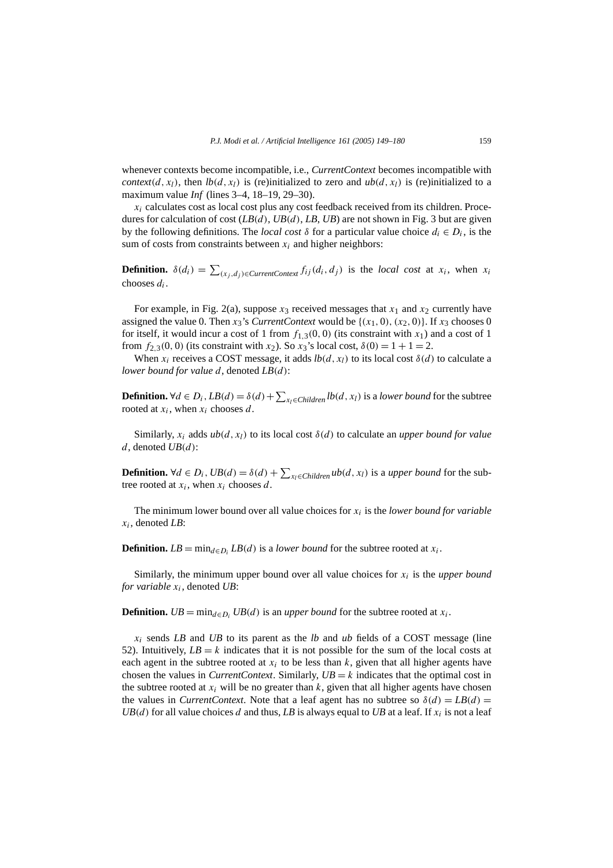whenever contexts become incompatible, i.e., *CurrentContext* becomes incompatible with *context*(*d, x<sub>l</sub>*), then *lb*(*d, x<sub>l</sub>*) is (re)initialized to zero and  $ub(d, x_l)$  is (re)initialized to a maximum value *Inf* (lines 3–4, 18–19, 29–30).

 $x_i$  calculates cost as local cost plus any cost feedback received from its children. Procedures for calculation of cost (*LB(d)*, *UB(d)*, *LB*, *UB*) are not shown in Fig. 3 but are given by the following definitions. The *local cost*  $\delta$  for a particular value choice  $d_i \in D_i$ , is the sum of costs from constraints between  $x_i$  and higher neighbors:

**Definition.**  $\delta(d_i) = \sum_{(x_j,d_j)\in CurrentContext} f_{ij}(d_i,d_j)$  is the *local cost* at  $x_i$ , when  $x_i$ chooses *di*.

For example, in Fig. 2(a), suppose  $x_3$  received messages that  $x_1$  and  $x_2$  currently have assigned the value 0. Then *x*<sub>3</sub>'s *CurrentContext* would be  $\{(x_1, 0), (x_2, 0)\}$ . If  $x_3$  chooses 0 for itself, it would incur a cost of 1 from  $f_{1,3}(0,0)$  (its constraint with  $x_1$ ) and a cost of 1 from  $f_{2,3}(0,0)$  (its constraint with  $x_2$ ). So  $x_3$ 's local cost,  $\delta(0) = 1 + 1 = 2$ .

When  $x_i$  receives a COST message, it adds  $lb(d, x_l)$  to its local cost  $\delta(d)$  to calculate a *lower bound for value d*, denoted *LB(d)*:

**Definition.**  $\forall d \in D_i$ ,  $LB(d) = \delta(d) + \sum_{x_i \in Children} lb(d, x_i)$  is a *lower bound* for the subtree rooted at *xi*, when *xi* chooses *d*.

Similarly,  $x_i$  adds  $ub(d, x_l)$  to its local cost  $\delta(d)$  to calculate an *upper bound for value d*, denoted *UB(d)*:

**Definition.**  $\forall d \in D_i$ ,  $UB(d) = \delta(d) + \sum_{x_i \in Children} ub(d, x_i)$  is a *upper bound* for the subtree rooted at *xi*, when *xi* chooses *d*.

The minimum lower bound over all value choices for *xi* is the *lower bound for variable xi*, denoted *LB*:

**Definition.**  $LB = \min_{d \in D_i} LB(d)$  is a *lower bound* for the subtree rooted at  $x_i$ .

Similarly, the minimum upper bound over all value choices for  $x_i$  is the *upper bound for variable xi*, denoted *UB*:

**Definition.**  $UB = \min_{d \in D_i} UB(d)$  is an *upper bound* for the subtree rooted at  $x_i$ .

 $x_i$  sends *LB* and *UB* to its parent as the *lb* and *ub* fields of a COST message (line 52). Intuitively,  $LB = k$  indicates that it is not possible for the sum of the local costs at each agent in the subtree rooted at  $x_i$  to be less than  $k$ , given that all higher agents have chosen the values in *CurrentContext*. Similarly,  $UB = k$  indicates that the optimal cost in the subtree rooted at  $x_i$  will be no greater than  $k$ , given that all higher agents have chosen the values in *CurrentContext*. Note that a leaf agent has no subtree so  $\delta(d) = LB(d)$ *UB*(*d*) for all value choices *d* and thus, *LB* is always equal to *UB* at a leaf. If  $x_i$  is not a leaf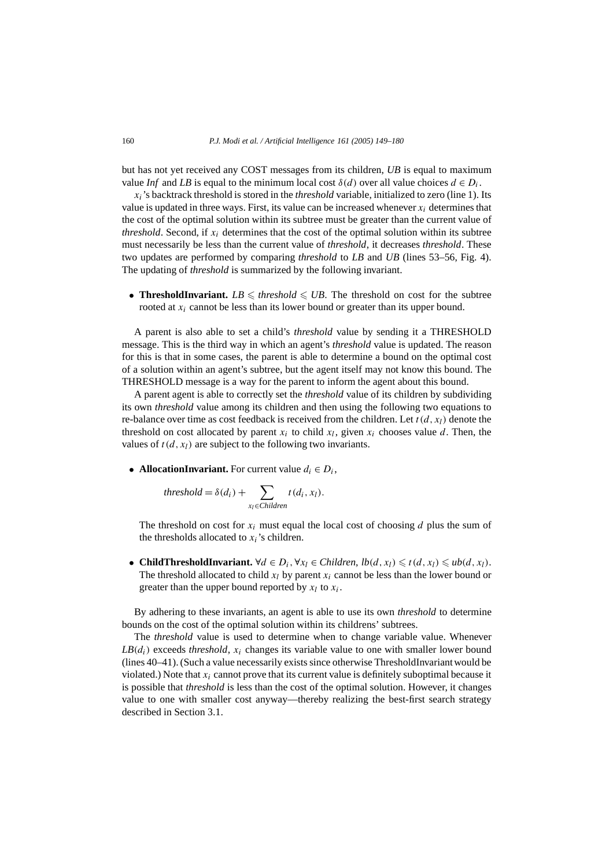but has not yet received any COST messages from its children, *UB* is equal to maximum value *Inf* and *LB* is equal to the minimum local cost  $\delta(d)$  over all value choices  $d \in D_i$ .

 $x_i$ 's backtrack threshold is stored in the *threshold* variable, initialized to zero (line 1). Its value is updated in three ways. First, its value can be increased whenever  $x_i$  determines that the cost of the optimal solution within its subtree must be greater than the current value of *threshold*. Second, if *xi* determines that the cost of the optimal solution within its subtree must necessarily be less than the current value of *threshold*, it decreases *threshold*. These two updates are performed by comparing *threshold* to *LB* and *UB* (lines 53–56, Fig. 4). The updating of *threshold* is summarized by the following invariant.

• **ThresholdInvariant.**  $LB \leq threshold \leq UB$ . The threshold on cost for the subtree rooted at *xi* cannot be less than its lower bound or greater than its upper bound.

A parent is also able to set a child's *threshold* value by sending it a THRESHOLD message. This is the third way in which an agent's *threshold* value is updated. The reason for this is that in some cases, the parent is able to determine a bound on the optimal cost of a solution within an agent's subtree, but the agent itself may not know this bound. The THRESHOLD message is a way for the parent to inform the agent about this bound.

A parent agent is able to correctly set the *threshold* value of its children by subdividing its own *threshold* value among its children and then using the following two equations to re-balance over time as cost feedback is received from the children. Let  $t(d, x_l)$  denote the threshold on cost allocated by parent  $x_i$  to child  $x_l$ , given  $x_i$  chooses value *d*. Then, the values of  $t(d, x_l)$  are subject to the following two invariants.

• **AllocationInvariant.** For current value  $d_i \in D_i$ ,

$$
threshold = \delta(d_i) + \sum_{x_l \in Children} t(d_i, x_l).
$$

The threshold on cost for  $x_i$  must equal the local cost of choosing  $d$  plus the sum of the thresholds allocated to  $x_i$ 's children.

• **ChildThresholdInvariant.** ∀*d* ∈ *D<sub>i</sub>*, ∀ $x_l$  ∈ *Children*, *lb*(*d*,  $x_l$ ) ≤ *t*(*d*,  $x_l$ ) ≤ *ub*(*d*,  $x_l$ ). The threshold allocated to child  $x_l$  by parent  $x_i$  cannot be less than the lower bound or greater than the upper bound reported by *xl* to *xi*.

By adhering to these invariants, an agent is able to use its own *threshold* to determine bounds on the cost of the optimal solution within its childrens' subtrees.

The *threshold* value is used to determine when to change variable value. Whenever  $LB(d_i)$  exceeds *threshold*,  $x_i$  changes its variable value to one with smaller lower bound (lines 40–41). (Such a value necessarily exists since otherwise ThresholdInvariant would be violated.) Note that *xi* cannot prove that its current value is definitely suboptimal because it is possible that *threshold* is less than the cost of the optimal solution. However, it changes value to one with smaller cost anyway—thereby realizing the best-first search strategy described in Section 3.1.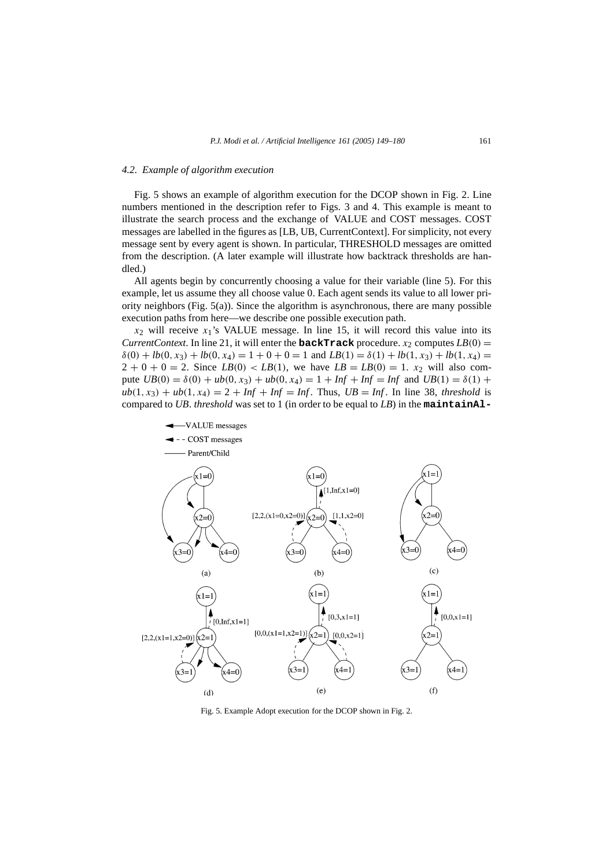### *4.2. Example of algorithm execution*

Fig. 5 shows an example of algorithm execution for the DCOP shown in Fig. 2. Line numbers mentioned in the description refer to Figs. 3 and 4. This example is meant to illustrate the search process and the exchange of VALUE and COST messages. COST messages are labelled in the figures as [LB, UB, CurrentContext]. For simplicity, not every message sent by every agent is shown. In particular, THRESHOLD messages are omitted from the description. (A later example will illustrate how backtrack thresholds are handled.)

All agents begin by concurrently choosing a value for their variable (line 5). For this example, let us assume they all choose value 0. Each agent sends its value to all lower priority neighbors (Fig.  $5(a)$ ). Since the algorithm is asynchronous, there are many possible execution paths from here—we describe one possible execution path.

 $x_2$  will receive  $x_1$ 's VALUE message. In line 15, it will record this value into its *CurrentContext*. In line 21, it will enter the **backTrack** procedure.  $x_2$  computes  $LB(0) =$  $\delta(0) + lb(0, x_3) + lb(0, x_4) = 1 + 0 + 0 = 1$  and  $LB(1) = \delta(1) + lb(1, x_3) + lb(1, x_4) =$  $2 + 0 + 0 = 2$ . Since  $LB(0) < LB(1)$ , we have  $LB = LB(0) = 1$ .  $x_2$  will also compute  $UB(0) = \delta(0) + ub(0, x_3) + ub(0, x_4) = 1 + Inf + Inf = Inf$  and  $UB(1) = \delta(1) +$  $ub(1, x_3) + ub(1, x_4) = 2 + Inf + Inf = Inf$ . Thus,  $UB = Inf$ . In line 38, *threshold* is compared to *UB*. *threshold* was set to 1 (in order to be equal to *LB*) in the **maintainAl-**



Fig. 5. Example Adopt execution for the DCOP shown in Fig. 2.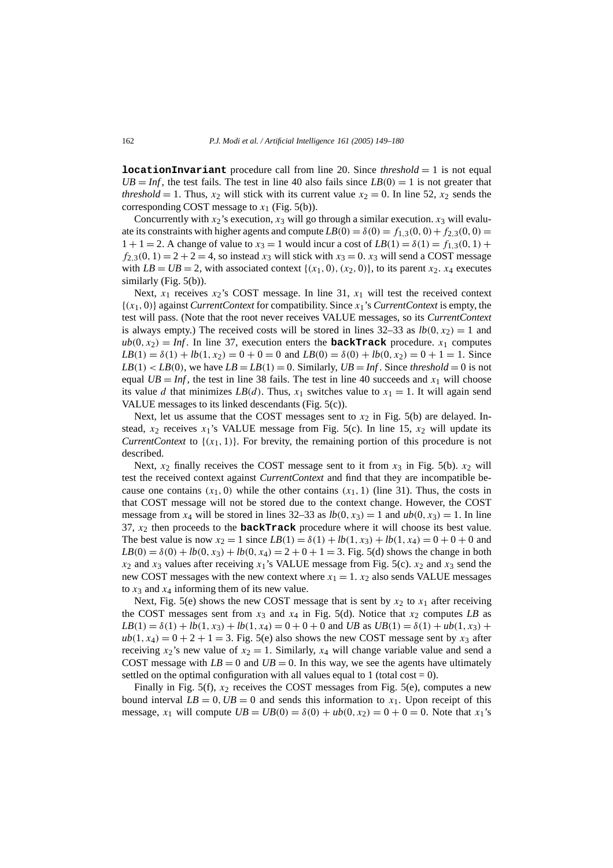**locationInvariant** procedure call from line 20. Since *threshold* = 1 is not equal  $UB = Inf$ , the test fails. The test in line 40 also fails since  $LB(0) = 1$  is not greater that *threshold* = 1. Thus,  $x_2$  will stick with its current value  $x_2 = 0$ . In line 52,  $x_2$  sends the corresponding COST message to  $x_1$  (Fig. 5(b)).

Concurrently with  $x_2$ 's execution,  $x_3$  will go through a similar execution.  $x_3$  will evaluate its constraints with higher agents and compute  $LB(0) = \delta(0) = f_{1,3}(0,0) + f_{2,3}(0,0) =$  $1 + 1 = 2$ . A change of value to  $x_3 = 1$  would incur a cost of  $LB(1) = \delta(1) = f_{1,3}(0, 1) +$  $f_{2,3}(0, 1) = 2 + 2 = 4$ , so instead *x*<sub>3</sub> will stick with  $x_3 = 0$ . *x*<sub>3</sub> will send a COST message with  $LB = UB = 2$ , with associated context  $\{(x_1, 0), (x_2, 0)\}\)$ , to its parent  $x_2$ .  $x_4$  executes similarly (Fig. 5(b)).

Next,  $x_1$  receives  $x_2$ 's COST message. In line 31,  $x_1$  will test the received context {*(x*1*,* 0*)*} against *CurrentContext* for compatibility. Since *x*1's *CurrentContext* is empty, the test will pass. (Note that the root never receives VALUE messages, so its *CurrentContext* is always empty.) The received costs will be stored in lines  $32-33$  as  $lb(0, x_2) = 1$  and  $ub(0, x_2) = Inf$ . In line 37, execution enters the **backTrack** procedure.  $x_1$  computes  $LB(1) = \delta(1) + lb(1, x_2) = 0 + 0 = 0$  and  $LB(0) = \delta(0) + lb(0, x_2) = 0 + 1 = 1$ . Since  $LB(1) < LB(0)$ , we have  $LB = LB(1) = 0$ . Similarly,  $UB = Inf$ . Since *threshold* = 0 is not equal  $UB = Inf$ , the test in line 38 fails. The test in line 40 succeeds and  $x_1$  will choose its value *d* that minimizes  $LB(d)$ . Thus,  $x_1$  switches value to  $x_1 = 1$ . It will again send VALUE messages to its linked descendants (Fig. 5(c)).

Next, let us assume that the COST messages sent to  $x_2$  in Fig. 5(b) are delayed. Instead,  $x_2$  receives  $x_1$ 's VALUE message from Fig. 5(c). In line 15,  $x_2$  will update its *CurrentContext* to  $\{(x_1, 1)\}$ . For brevity, the remaining portion of this procedure is not described.

Next,  $x_2$  finally receives the COST message sent to it from  $x_3$  in Fig. 5(b).  $x_2$  will test the received context against *CurrentContext* and find that they are incompatible because one contains  $(x_1, 0)$  while the other contains  $(x_1, 1)$  (line 31). Thus, the costs in that COST message will not be stored due to the context change. However, the COST message from  $x_4$  will be stored in lines 32–33 as  $lb(0, x_3) = 1$  and  $ub(0, x_3) = 1$ . In line 37, *x*<sup>2</sup> then proceeds to the **backTrack** procedure where it will choose its best value. The best value is now  $x_2 = 1$  since  $LB(1) = \delta(1) + lb(1, x_3) + lb(1, x_4) = 0 + 0 + 0$  and  $LB(0) = \delta(0) + lb(0, x_3) + lb(0, x_4) = 2 + 0 + 1 = 3$ . Fig. 5(d) shows the change in both  $x_2$  and  $x_3$  values after receiving  $x_1$ 's VALUE message from Fig. 5(c).  $x_2$  and  $x_3$  send the new COST messages with the new context where  $x_1 = 1$ .  $x_2$  also sends VALUE messages to  $x_3$  and  $x_4$  informing them of its new value.

Next, Fig. 5(e) shows the new COST message that is sent by  $x_2$  to  $x_1$  after receiving the COST messages sent from  $x_3$  and  $x_4$  in Fig. 5(d). Notice that  $x_2$  computes *LB* as  $LB(1) = \delta(1) + lb(1, x_3) + lb(1, x_4) = 0 + 0 + 0$  and UB as  $UB(1) = \delta(1) + ub(1, x_3) +$  $ub(1, x_4) = 0 + 2 + 1 = 3$ . Fig. 5(e) also shows the new COST message sent by  $x_3$  after receiving  $x_2$ 's new value of  $x_2 = 1$ . Similarly,  $x_4$  will change variable value and send a COST message with  $LB = 0$  and  $UB = 0$ . In this way, we see the agents have ultimately settled on the optimal configuration with all values equal to 1 (total cost  $= 0$ ).

Finally in Fig.  $5(f)$ ,  $x_2$  receives the COST messages from Fig.  $5(e)$ , computes a new bound interval  $LB = 0$ ,  $UB = 0$  and sends this information to  $x_1$ . Upon receipt of this message,  $x_1$  will compute  $UB = UB(0) = \delta(0) + ub(0, x_2) = 0 + 0 = 0$ . Note that  $x_1$ 's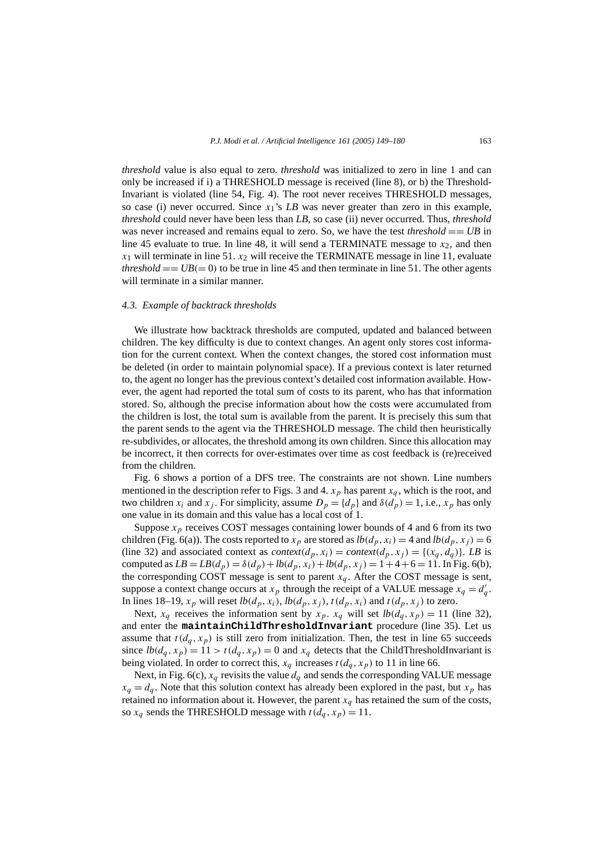*threshold* value is also equal to zero. *threshold* was initialized to zero in line 1 and can only be increased if i) a THRESHOLD message is received (line 8), or b) the Threshold-Invariant is violated (line 54, Fig. 4). The root never receives THRESHOLD messages, so case (i) never occurred. Since  $x_1$ 's *LB* was never greater than zero in this example, *threshold* could never have been less than *LB*, so case (ii) never occurred. Thus, *threshold* was never increased and remains equal to zero. So, we have the test *threshold* == *UB* in line 45 evaluate to true. In line 48, it will send a TERMINATE message to  $x_2$ , and then  $x_1$  will terminate in line 51.  $x_2$  will receive the TERMINATE message in line 11, evaluate *threshold*  $==$  *UB* $(= 0)$  to be true in line 45 and then terminate in line 51. The other agents will terminate in a similar manner.

## *4.3. Example of backtrack thresholds*

We illustrate how backtrack thresholds are computed, updated and balanced between children. The key difficulty is due to context changes. An agent only stores cost information for the current context. When the context changes, the stored cost information must be deleted (in order to maintain polynomial space). If a previous context is later returned to, the agent no longer has the previous context's detailed cost information available. However, the agent had reported the total sum of costs to its parent, who has that information stored. So, although the precise information about how the costs were accumulated from the children is lost, the total sum is available from the parent. It is precisely this sum that the parent sends to the agent via the THRESHOLD message. The child then heuristically re-subdivides, or allocates, the threshold among its own children. Since this allocation may be incorrect, it then corrects for over-estimates over time as cost feedback is (re)received from the children.

Fig. 6 shows a portion of a DFS tree. The constraints are not shown. Line numbers mentioned in the description refer to Figs. 3 and 4.  $x_p$  has parent  $x_q$ , which is the root, and two children  $x_i$  and  $x_j$ . For simplicity, assume  $D_p = \{d_p\}$  and  $\delta(d_p) = 1$ , i.e.,  $x_p$  has only one value in its domain and this value has a local cost of 1.

Suppose  $x_p$  receives COST messages containing lower bounds of 4 and 6 from its two children (Fig. 6(a)). The costs reported to  $x_p$  are stored as  $lb(d_p, x_i) = 4$  and  $lb(d_p, x_j) = 6$ (line 32) and associated context as *context* $(d_p, x_i) = \text{context}(d_p, x_i) = \{(x_q, d_q)\}\$ . *LB* is computed as  $LB = LB(d_p) = \delta(d_p) + lb(d_p, x_i) + lb(d_p, x_j) = 1 + 4 + 6 = 11$ . In Fig. 6(b), the corresponding COST message is sent to parent  $x_q$ . After the COST message is sent, suppose a context change occurs at  $x_p$  through the receipt of a VALUE message  $x_q = d'_q$ . In lines 18–19,  $x_p$  will reset  $lb(d_p, x_i)$ ,  $lb(d_p, x_j)$ ,  $t(d_p, x_i)$  and  $t(d_p, x_j)$  to zero.

Next,  $x_q$  receives the information sent by  $x_p$ .  $x_q$  will set  $lb(d_q, x_p) = 11$  (line 32), and enter the **maintainChildThresholdInvariant** procedure (line 35). Let us assume that  $t(d_q, x_p)$  is still zero from initialization. Then, the test in line 65 succeeds since  $lb(d_q, x_p) = 11 > t(d_q, x_p) = 0$  and  $x_q$  detects that the ChildThresholdInvariant is being violated. In order to correct this,  $x_q$  increases  $t(d_q, x_p)$  to 11 in line 66.

Next, in Fig. 6(c),  $x_q$  revisits the value  $d_q$  and sends the corresponding VALUE message  $x_q = d_q$ . Note that this solution context has already been explored in the past, but  $x_p$  has retained no information about it. However, the parent  $x_q$  has retained the sum of the costs, so  $x_q$  sends the THRESHOLD message with  $t(d_q, x_p) = 11$ .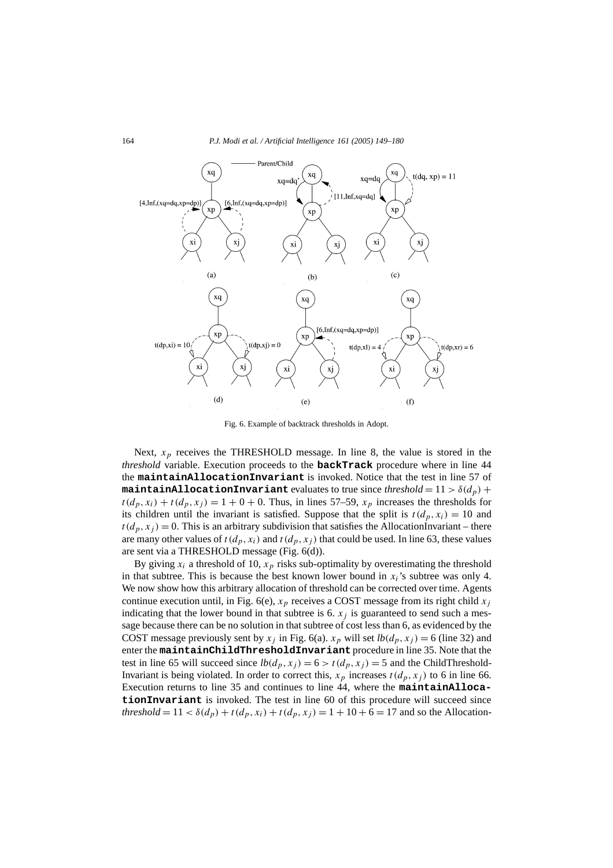

Fig. 6. Example of backtrack thresholds in Adopt.

Next,  $x_p$  receives the THRESHOLD message. In line 8, the value is stored in the *threshold* variable. Execution proceeds to the **backTrack** procedure where in line 44 the **maintainAllocationInvariant** is invoked. Notice that the test in line 57 of **maintainAllocationInvariant** evaluates to true since *threshold* =  $11 > \delta(d_p)$  +  $t(d_p, x_i) + t(d_p, x_j) = 1 + 0 + 0$ . Thus, in lines 57–59,  $x_p$  increases the thresholds for its children until the invariant is satisfied. Suppose that the split is  $t(d_p, x_i) = 10$  and  $t(d_p, x_i) = 0$ . This is an arbitrary subdivision that satisfies the AllocationInvariant – there are many other values of  $t(d_p, x_i)$  and  $t(d_p, x_j)$  that could be used. In line 63, these values are sent via a THRESHOLD message (Fig. 6(d)).

By giving  $x_i$  a threshold of 10,  $x_p$  risks sub-optimality by overestimating the threshold in that subtree. This is because the best known lower bound in  $x_i$ 's subtree was only 4. We now show how this arbitrary allocation of threshold can be corrected over time. Agents continue execution until, in Fig.  $6(e)$ ,  $x_p$  receives a COST message from its right child  $x_j$ indicating that the lower bound in that subtree is  $6. x<sub>i</sub>$  is guaranteed to send such a message because there can be no solution in that subtree of cost less than 6, as evidenced by the COST message previously sent by  $x_j$  in Fig. 6(a).  $x_p$  will set  $lb(d_p, x_j) = 6$  (line 32) and enter the **maintainChildThresholdInvariant** procedure in line 35. Note that the test in line 65 will succeed since  $lb(d_p, x_j) = 6 > t(d_p, x_j) = 5$  and the ChildThreshold-Invariant is being violated. In order to correct this,  $x_p$  increases  $t(d_p, x_j)$  to 6 in line 66. Execution returns to line 35 and continues to line 44, where the **maintainAllocationInvariant** is invoked. The test in line 60 of this procedure will succeed since *threshold* = 11 <  $\delta(d_p)$  +  $t(d_p, x_i)$  +  $t(d_p, x_j)$  = 1 + 10 + 6 = 17 and so the Allocation-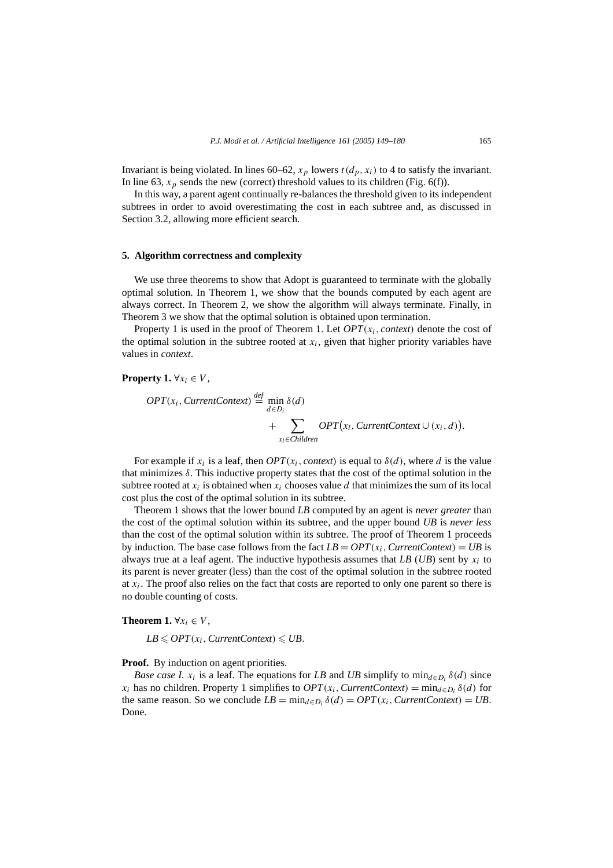Invariant is being violated. In lines 60–62,  $x_p$  lowers  $t(d_p, x_i)$  to 4 to satisfy the invariant. In line 63,  $x_p$  sends the new (correct) threshold values to its children (Fig. 6(f)).

In this way, a parent agent continually re-balances the threshold given to its independent subtrees in order to avoid overestimating the cost in each subtree and, as discussed in Section 3.2, allowing more efficient search.

## **5. Algorithm correctness and complexity**

We use three theorems to show that Adopt is guaranteed to terminate with the globally optimal solution. In Theorem 1, we show that the bounds computed by each agent are always correct. In Theorem 2, we show the algorithm will always terminate. Finally, in Theorem 3 we show that the optimal solution is obtained upon termination.

Property 1 is used in the proof of Theorem 1. Let  $OPT(x_i, context)$  denote the cost of the optimal solution in the subtree rooted at  $x_i$ , given that higher priority variables have values in *context*.

**Property 1.**  $\forall x_i \in V$ ,

$$
OPT(x_i, CurrentContext) \stackrel{def}{=} \min_{d \in D_i} \delta(d) + \sum_{x_l \in Children} OPT(x_l, CurrentContext \cup (x_i, d)).
$$

For example if  $x_i$  is a leaf, then  $OPT(x_i, context)$  is equal to  $\delta(d)$ , where *d* is the value that minimizes  $\delta$ . This inductive property states that the cost of the optimal solution in the subtree rooted at  $x_i$  is obtained when  $x_i$  chooses value  $d$  that minimizes the sum of its local cost plus the cost of the optimal solution in its subtree.

Theorem 1 shows that the lower bound *LB* computed by an agent is *never greater* than the cost of the optimal solution within its subtree, and the upper bound *UB* is *never less* than the cost of the optimal solution within its subtree. The proof of Theorem 1 proceeds by induction. The base case follows from the fact  $LB = OPT(x_i, CurrentContext) = UB$  is always true at a leaf agent. The inductive hypothesis assumes that *LB* (*UB*) sent by *xi* to its parent is never greater (less) than the cost of the optimal solution in the subtree rooted at  $x_i$ . The proof also relies on the fact that costs are reported to only one parent so there is no double counting of costs.

**Theorem 1.**  $\forall x_i \in V$ ,

 $LB \leq OPT(x_i, CurrentContext) \leq UB$ .

**Proof.** By induction on agent priorities.

*Base case I.*  $x_i$  is a leaf. The equations for *LB* and *UB* simplify to  $\min_{d \in D_i} \delta(d)$  since  $x_i$  has no children. Property 1 simplifies to *OPT*( $x_i$ , *CurrentContext*) = min<sub> $d \in D_i$ </sub>  $\delta(d)$  for the same reason. So we conclude  $LB = \min_{d \in D_i} \delta(d) = OPT(x_i, CurrentContext) = UB$ . Done.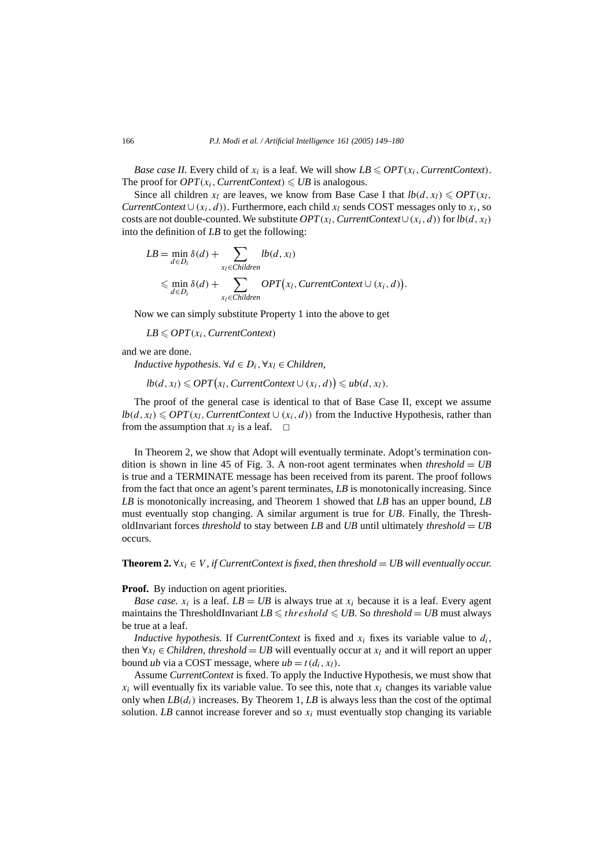*Base case II.* Every child of  $x_i$  is a leaf. We will show  $LB \leq OPT(x_i, CurrentContext)$ . The proof for  $OPT(x_i, CurrentContext) \leq UB$  is analogous.

Since all children  $x_l$  are leaves, we know from Base Case I that  $lb(d, x_l) \leqslant OPT(x_l)$ , *CurrentContext* $\cup$  (*x<sub>i</sub>*, *d*)). Furthermore, each child *x*<sub>*l*</sub> sends COST messages only to *x<sub>i</sub>*, so costs are not double-counted. We substitute *OPT*( $x_l$ , *CurrentContext* $\cup$ ( $x_i$ , *d*)) for *lb*( $d$ ,  $x_l$ ) into the definition of *LB* to get the following:

$$
LB = \min_{d \in D_i} \delta(d) + \sum_{x_l \in Children} lb(d, x_l)
$$
  
\$\leqslant \min\_{d \in D\_i} \delta(d) + \sum\_{x\_l \in Children} OPT(x\_l, CurrentContext \cup (x\_i, d)).

Now we can simply substitute Property 1 into the above to get

 $LB \leq OPT(x_i, CurrentContext)$ 

and we are done.

*Inductive hypothesis.*  $\forall d \in D_i$ ,  $\forall x_l$  ∈ *Children*,

$$
lb(d, x_l) \le OPT(x_l, CurrentContext \cup (x_i, d)) \le ub(d, x_l).
$$

The proof of the general case is identical to that of Base Case II, except we assume *lb* $(d, x_l)$  ≤ *OPT* $(x_l,$ *CurrentContext* ∪  $(x_i, d)$  from the Inductive Hypothesis, rather than from the assumption that  $x_l$  is a leaf.  $\Box$ 

In Theorem 2, we show that Adopt will eventually terminate. Adopt's termination condition is shown in line 45 of Fig. 3. A non-root agent terminates when *threshold* =  $UB$ is true and a TERMINATE message has been received from its parent. The proof follows from the fact that once an agent's parent terminates, *LB* is monotonically increasing. Since *LB* is monotonically increasing, and Theorem 1 showed that *LB* has an upper bound, *LB* must eventually stop changing. A similar argument is true for *UB*. Finally, the ThresholdInvariant forces *threshold* to stay between *LB* and *UB* until ultimately *threshold* = *UB* occurs.

**Theorem 2.**  $\forall x_i \in V$ , if CurrentContext is fixed, then threshold = UB will eventually occur.

**Proof.** By induction on agent priorities.

*Base case.*  $x_i$  is a leaf.  $LB = UB$  is always true at  $x_i$  because it is a leaf. Every agent maintains the ThresholdInvariant  $LB \leq threshold \leq UB$ . So *threshold* = *UB* must always be true at a leaf.

*Inductive hypothesis.* If *CurrentContext* is fixed and  $x_i$  fixes its variable value to  $d_i$ , then  $\forall x_l \in Children$ , *threshold* = *UB* will eventually occur at  $x_l$  and it will report an upper bound *ub* via a COST message, where  $ub = t(d_i, x_l)$ .

Assume *CurrentContext* is fixed. To apply the Inductive Hypothesis, we must show that  $x_i$  will eventually fix its variable value. To see this, note that  $x_i$  changes its variable value only when  $LB(d_i)$  increases. By Theorem 1, LB is always less than the cost of the optimal solution. *LB* cannot increase forever and so  $x_i$  must eventually stop changing its variable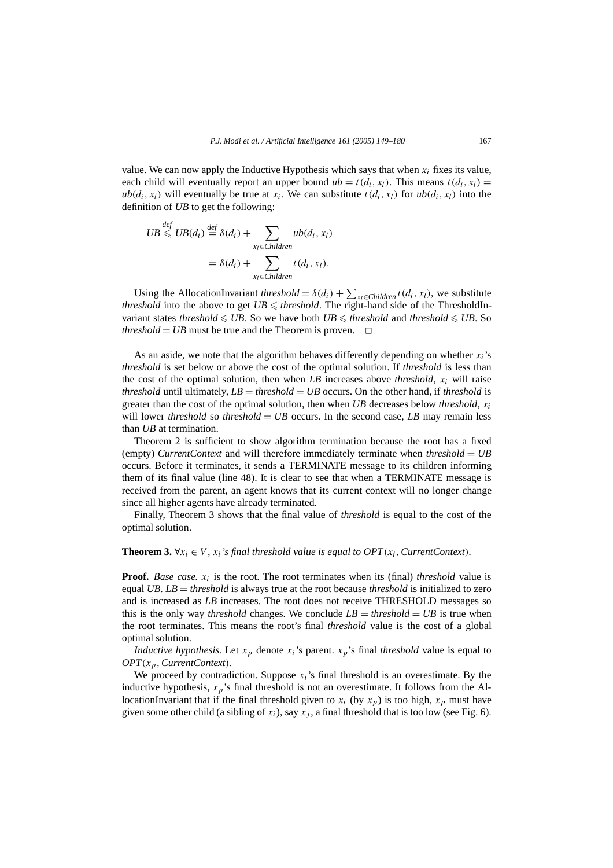value. We can now apply the Inductive Hypothesis which says that when  $x_i$  fixes its value, each child will eventually report an upper bound  $ub = t(d_i, x_l)$ . This means  $t(d_i, x_l)$  $u b(d_i, x_l)$  will eventually be true at  $x_i$ . We can substitute  $t(d_i, x_l)$  for  $u b(d_i, x_l)$  into the definition of *UB* to get the following:

$$
UB \leq UB(d_i) \stackrel{def}{=} \delta(d_i) + \sum_{x_l \in Children} ub(d_i, x_l)
$$
  
=  $\delta(d_i) + \sum_{x_l \in Children} t(d_i, x_l)$ .

Using the AllocationInvariant *threshold* =  $\delta(d_i) + \sum_{x_i \in Children} t(d_i, x_i)$ , we substitute *threshold* into the above to get  $UB \leq$  *threshold*. The right-hand side of the ThresholdInvariant states *threshold*  $\leq$  *UB*. So we have both *UB*  $\leq$  *threshold* and *threshold*  $\leq$  *UB*. So *threshold* = *UB* must be true and the Theorem is proven.  $\Box$ 

As an aside, we note that the algorithm behaves differently depending on whether  $x_i$ 's *threshold* is set below or above the cost of the optimal solution. If *threshold* is less than the cost of the optimal solution, then when *LB* increases above *threshold*, *xi* will raise *threshold* until ultimately,  $LB = threshold = UB$  occurs. On the other hand, if *threshold* is greater than the cost of the optimal solution, then when *UB* decreases below *threshold*,  $x_i$ will lower *threshold* so *threshold* =  $UB$  occurs. In the second case,  $LB$  may remain less than *UB* at termination.

Theorem 2 is sufficient to show algorithm termination because the root has a fixed (empty) *CurrentContext* and will therefore immediately terminate when *threshold* = *UB* occurs. Before it terminates, it sends a TERMINATE message to its children informing them of its final value (line 48). It is clear to see that when a TERMINATE message is received from the parent, an agent knows that its current context will no longer change since all higher agents have already terminated.

Finally, Theorem 3 shows that the final value of *threshold* is equal to the cost of the optimal solution.

## **Theorem 3.**  $\forall x_i \in V$ ,  $x_i$ 's final threshold value is equal to  $OPT(x_i, CurrentContext)$ .

**Proof.** Base case.  $x_i$  is the root. The root terminates when its (final) *threshold* value is equal *UB*. *LB* = *threshold* is always true at the root because *threshold* is initialized to zero and is increased as *LB* increases. The root does not receive THRESHOLD messages so this is the only way *threshold* changes. We conclude  $LB = threshold = UB$  is true when the root terminates. This means the root's final *threshold* value is the cost of a global optimal solution.

*Inductive hypothesis.* Let  $x_p$  denote  $x_i$ 's parent.  $x_p$ 's final *threshold* value is equal to *OPT(xp,CurrentContext)*.

We proceed by contradiction. Suppose *xi*'s final threshold is an overestimate. By the inductive hypothesis,  $x_p$ 's final threshold is not an overestimate. It follows from the AllocationInvariant that if the final threshold given to  $x_i$  (by  $x_p$ ) is too high,  $x_p$  must have given some other child (a sibling of  $x_i$ ), say  $x_j$ , a final threshold that is too low (see Fig. 6).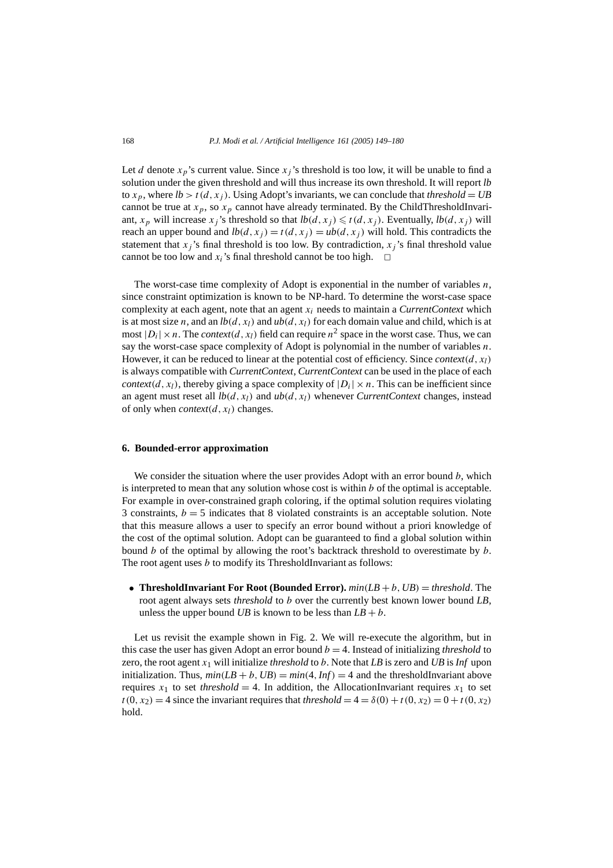Let *d* denote  $x_p$ 's current value. Since  $x_j$ 's threshold is too low, it will be unable to find a solution under the given threshold and will thus increase its own threshold. It will report *lb* to  $x_p$ , where  $lb > t(d, x_j)$ . Using Adopt's invariants, we can conclude that *threshold* = *UB* cannot be true at  $x_p$ , so  $x_p$  cannot have already terminated. By the ChildThresholdInvariant,  $x_p$  will increase  $x_j$ 's threshold so that  $lb(d, x_j) \leq t(d, x_j)$ . Eventually,  $lb(d, x_j)$  will reach an upper bound and  $lb(d, x_i) = t(d, x_j) = ub(d, x_j)$  will hold. This contradicts the statement that  $x_j$ 's final threshold is too low. By contradiction,  $x_j$ 's final threshold value cannot be too low and  $x_i$ 's final threshold cannot be too high.  $\Box$ 

The worst-case time complexity of Adopt is exponential in the number of variables *n*, since constraint optimization is known to be NP-hard. To determine the worst-case space complexity at each agent, note that an agent *xi* needs to maintain a *CurrentContext* which is at most size *n*, and an  $lb(d, x_l)$  and  $ub(d, x_l)$  for each domain value and child, which is at most  $|D_i| \times n$ . The *context*(*d, x<sub>l</sub>*) field can require  $n^2$  space in the worst case. Thus, we can say the worst-case space complexity of Adopt is polynomial in the number of variables *n*. However, it can be reduced to linear at the potential cost of efficiency. Since *context(d, xl)* is always compatible with *CurrentContext*, *CurrentContext* can be used in the place of each *context*(*d, x<sub>l</sub>*), thereby giving a space complexity of  $|D_i| \times n$ . This can be inefficient since an agent must reset all  $lb(d, x_l)$  and  $ub(d, x_l)$  whenever *CurrentContext* changes, instead of only when *context* $(d, x_l)$  changes.

# **6. Bounded-error approximation**

We consider the situation where the user provides Adopt with an error bound *b*, which is interpreted to mean that any solution whose cost is within *b* of the optimal is acceptable. For example in over-constrained graph coloring, if the optimal solution requires violating 3 constraints,  $b = 5$  indicates that 8 violated constraints is an acceptable solution. Note that this measure allows a user to specify an error bound without a priori knowledge of the cost of the optimal solution. Adopt can be guaranteed to find a global solution within bound *b* of the optimal by allowing the root's backtrack threshold to overestimate by *b*. The root agent uses *b* to modify its ThresholdInvariant as follows:

• **ThresholdInvariant For Root (Bounded Error).**  $min(LB + b, UB) = threshold$ . The root agent always sets *threshold* to *b* over the currently best known lower bound *LB*, unless the upper bound *UB* is known to be less than  $LB + b$ .

Let us revisit the example shown in Fig. 2. We will re-execute the algorithm, but in this case the user has given Adopt an error bound  $b = 4$ . Instead of initializing *threshold* to zero, the root agent *x*<sup>1</sup> will initialize *threshold* to *b*. Note that *LB* is zero and *UB* is *Inf* upon initialization. Thus,  $min(LB + b, UB) = min(4, Inf) = 4$  and the thresholdInvariant above requires  $x_1$  to set *threshold* = 4. In addition, the AllocationInvariant requires  $x_1$  to set  $t(0, x_2) = 4$  since the invariant requires that *threshold* =  $4 = \delta(0) + t(0, x_2) = 0 + t(0, x_2)$ hold.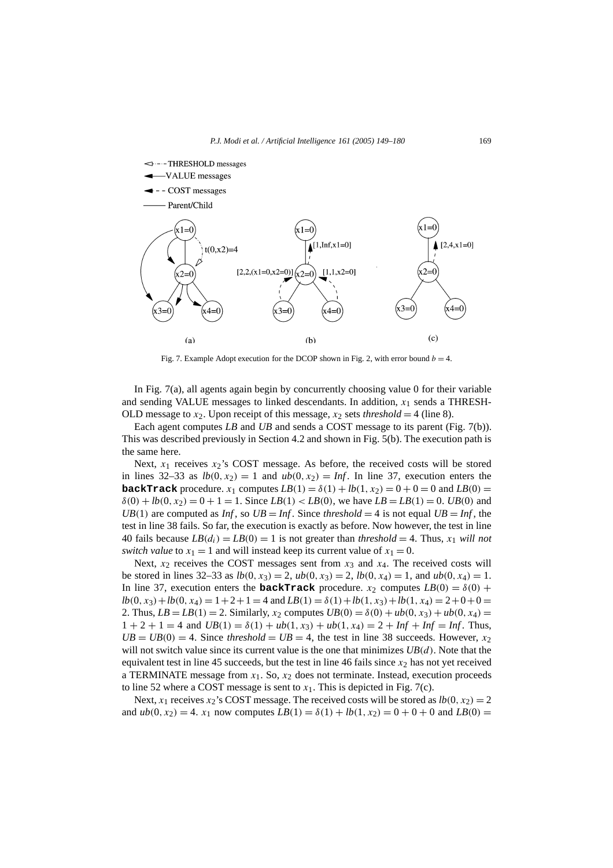

Fig. 7. Example Adopt execution for the DCOP shown in Fig. 2, with error bound  $b = 4$ .

In Fig. 7(a), all agents again begin by concurrently choosing value 0 for their variable and sending VALUE messages to linked descendants. In addition, *x*<sup>1</sup> sends a THRESH-OLD message to  $x_2$ . Upon receipt of this message,  $x_2$  sets *threshold* = 4 (line 8).

Each agent computes *LB* and *UB* and sends a COST message to its parent (Fig. 7(b)). This was described previously in Section 4.2 and shown in Fig. 5(b). The execution path is the same here.

Next,  $x_1$  receives  $x_2$ 's COST message. As before, the received costs will be stored in lines 32–33 as  $lb(0, x_2) = 1$  and  $ub(0, x_2) = Inf$ . In line 37, execution enters the **backTrack** procedure.  $x_1$  computes  $LB(1) = \delta(1) + lb(1, x_2) = 0 + 0 = 0$  and  $LB(0) = 0$  $\delta(0) + lb(0, x_2) = 0 + 1 = 1$ . Since  $LB(1) < LB(0)$ , we have  $LB = LB(1) = 0$ .  $UB(0)$  and *UB*(1) are computed as *Inf*, so  $UB = Inf$ . Since *threshold* = 4 is not equal  $UB = Inf$ , the test in line 38 fails. So far, the execution is exactly as before. Now however, the test in line 40 fails because  $LB(d_i) = LB(0) = 1$  is not greater than *threshold* = 4. Thus,  $x_1$  will not *switch value* to  $x_1 = 1$  and will instead keep its current value of  $x_1 = 0$ .

Next,  $x_2$  receives the COST messages sent from  $x_3$  and  $x_4$ . The received costs will be stored in lines 32–33 as  $lb(0, x_3) = 2$ ,  $ub(0, x_3) = 2$ ,  $lb(0, x_4) = 1$ , and  $ub(0, x_4) = 1$ . In line 37, execution enters the **backTrack** procedure.  $x_2$  computes  $LB(0) = \delta(0) +$  $lb(0, x_3) + lb(0, x_4) = 1 + 2 + 1 = 4$  and  $LB(1) = \delta(1) + lb(1, x_3) + lb(1, x_4) = 2 + 0 + 0 =$ 2. Thus,  $LB = LB(1) = 2$ . Similarly,  $x_2$  computes  $UB(0) = \delta(0) + ub(0, x_3) + ub(0, x_4) =$  $1 + 2 + 1 = 4$  and  $UB(1) = \delta(1) + ub(1, x_3) + ub(1, x_4) = 2 + Inf + Inf = Inf$ . Thus,  $UB = UB(0) = 4$ . Since *threshold* =  $UB = 4$ , the test in line 38 succeeds. However, *x*<sub>2</sub> will not switch value since its current value is the one that minimizes *UB(d)*. Note that the equivalent test in line 45 succeeds, but the test in line 46 fails since  $x_2$  has not yet received a TERMINATE message from  $x_1$ . So,  $x_2$  does not terminate. Instead, execution proceeds to line 52 where a COST message is sent to  $x_1$ . This is depicted in Fig. 7(c).

Next,  $x_1$  receives  $x_2$ 's COST message. The received costs will be stored as  $lb(0, x_2) = 2$ and  $ub(0, x_2) = 4$ .  $x_1$  now computes  $LB(1) = \delta(1) + lb(1, x_2) = 0 + 0 + 0$  and  $LB(0) =$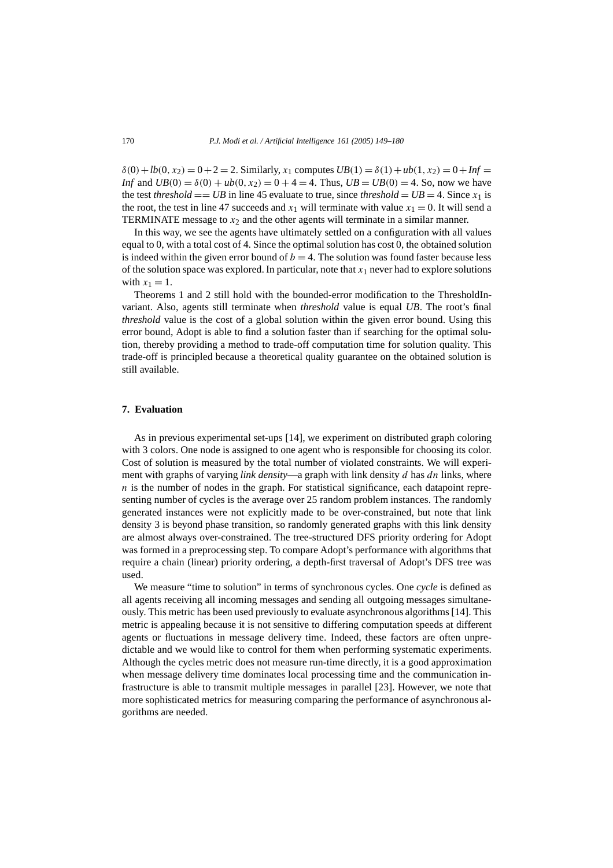$\delta(0) + lb(0, x_2) = 0 + 2 = 2$ . Similarly,  $x_1$  computes  $UB(1) = \delta(1) + ub(1, x_2) = 0 + Inf$ *Inf* and  $UB(0) = \delta(0) + ub(0, x_2) = 0 + 4 = 4$ . Thus,  $UB = UB(0) = 4$ . So, now we have the test *threshold* = *UB* in line 45 evaluate to true, since *threshold* =  $UB = 4$ . Since  $x_1$  is the root, the test in line 47 succeeds and  $x_1$  will terminate with value  $x_1 = 0$ . It will send a TERMINATE message to  $x_2$  and the other agents will terminate in a similar manner.

In this way, we see the agents have ultimately settled on a configuration with all values equal to 0, with a total cost of 4. Since the optimal solution has cost 0, the obtained solution is indeed within the given error bound of  $b = 4$ . The solution was found faster because less of the solution space was explored. In particular, note that  $x_1$  never had to explore solutions with  $x_1 = 1$ .

Theorems 1 and 2 still hold with the bounded-error modification to the ThresholdInvariant. Also, agents still terminate when *threshold* value is equal *UB*. The root's final *threshold* value is the cost of a global solution within the given error bound. Using this error bound, Adopt is able to find a solution faster than if searching for the optimal solution, thereby providing a method to trade-off computation time for solution quality. This trade-off is principled because a theoretical quality guarantee on the obtained solution is still available.

## **7. Evaluation**

As in previous experimental set-ups [14], we experiment on distributed graph coloring with 3 colors. One node is assigned to one agent who is responsible for choosing its color. Cost of solution is measured by the total number of violated constraints. We will experiment with graphs of varying *link density*—a graph with link density *d* has *dn* links, where *n* is the number of nodes in the graph. For statistical significance, each datapoint representing number of cycles is the average over 25 random problem instances. The randomly generated instances were not explicitly made to be over-constrained, but note that link density 3 is beyond phase transition, so randomly generated graphs with this link density are almost always over-constrained. The tree-structured DFS priority ordering for Adopt was formed in a preprocessing step. To compare Adopt's performance with algorithms that require a chain (linear) priority ordering, a depth-first traversal of Adopt's DFS tree was used.

We measure "time to solution" in terms of synchronous cycles. One *cycle* is defined as all agents receiving all incoming messages and sending all outgoing messages simultaneously. This metric has been used previously to evaluate asynchronous algorithms [14]. This metric is appealing because it is not sensitive to differing computation speeds at different agents or fluctuations in message delivery time. Indeed, these factors are often unpredictable and we would like to control for them when performing systematic experiments. Although the cycles metric does not measure run-time directly, it is a good approximation when message delivery time dominates local processing time and the communication infrastructure is able to transmit multiple messages in parallel [23]. However, we note that more sophisticated metrics for measuring comparing the performance of asynchronous algorithms are needed.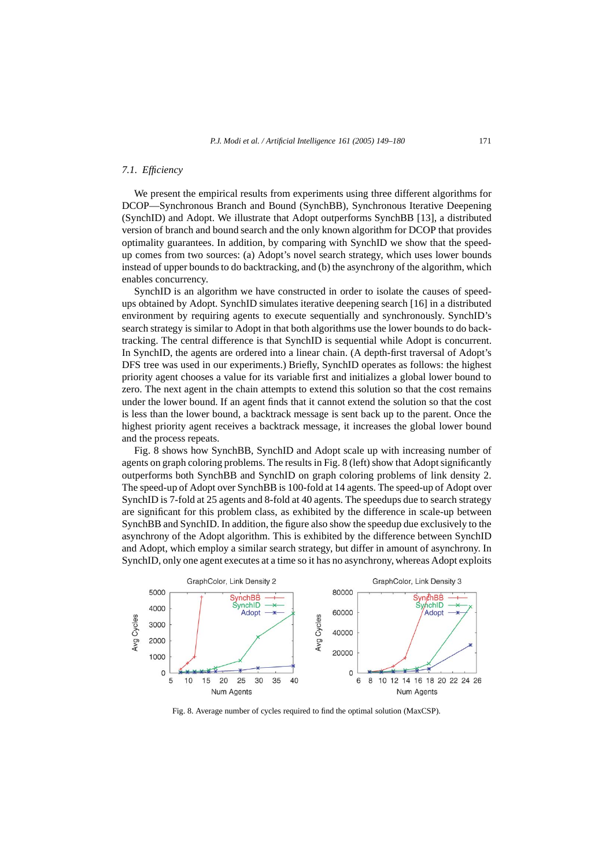# *7.1. Efficiency*

We present the empirical results from experiments using three different algorithms for DCOP—Synchronous Branch and Bound (SynchBB), Synchronous Iterative Deepening (SynchID) and Adopt. We illustrate that Adopt outperforms SynchBB [13], a distributed version of branch and bound search and the only known algorithm for DCOP that provides optimality guarantees. In addition, by comparing with SynchID we show that the speedup comes from two sources: (a) Adopt's novel search strategy, which uses lower bounds instead of upper bounds to do backtracking, and (b) the asynchrony of the algorithm, which enables concurrency.

SynchID is an algorithm we have constructed in order to isolate the causes of speedups obtained by Adopt. SynchID simulates iterative deepening search [16] in a distributed environment by requiring agents to execute sequentially and synchronously. SynchID's search strategy is similar to Adopt in that both algorithms use the lower bounds to do backtracking. The central difference is that SynchID is sequential while Adopt is concurrent. In SynchID, the agents are ordered into a linear chain. (A depth-first traversal of Adopt's DFS tree was used in our experiments.) Briefly, SynchID operates as follows: the highest priority agent chooses a value for its variable first and initializes a global lower bound to zero. The next agent in the chain attempts to extend this solution so that the cost remains under the lower bound. If an agent finds that it cannot extend the solution so that the cost is less than the lower bound, a backtrack message is sent back up to the parent. Once the highest priority agent receives a backtrack message, it increases the global lower bound and the process repeats.

Fig. 8 shows how SynchBB, SynchID and Adopt scale up with increasing number of agents on graph coloring problems. The results in Fig. 8 (left) show that Adopt significantly outperforms both SynchBB and SynchID on graph coloring problems of link density 2. The speed-up of Adopt over SynchBB is 100-fold at 14 agents. The speed-up of Adopt over SynchID is 7-fold at 25 agents and 8-fold at 40 agents. The speedups due to search strategy are significant for this problem class, as exhibited by the difference in scale-up between SynchBB and SynchID. In addition, the figure also show the speedup due exclusively to the asynchrony of the Adopt algorithm. This is exhibited by the difference between SynchID and Adopt, which employ a similar search strategy, but differ in amount of asynchrony. In SynchID, only one agent executes at a time so it has no asynchrony, whereas Adopt exploits



Fig. 8. Average number of cycles required to find the optimal solution (MaxCSP).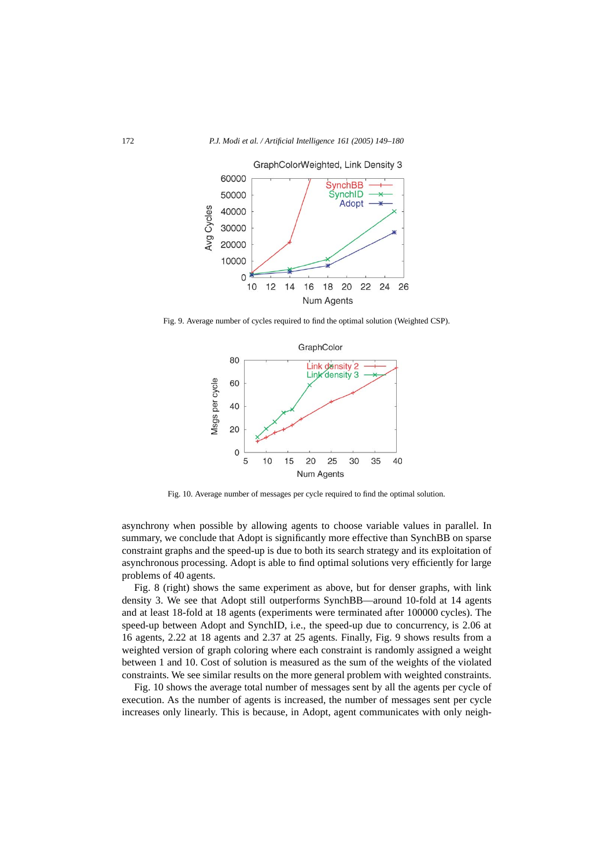

Fig. 9. Average number of cycles required to find the optimal solution (Weighted CSP).



Fig. 10. Average number of messages per cycle required to find the optimal solution.

asynchrony when possible by allowing agents to choose variable values in parallel. In summary, we conclude that Adopt is significantly more effective than SynchBB on sparse constraint graphs and the speed-up is due to both its search strategy and its exploitation of asynchronous processing. Adopt is able to find optimal solutions very efficiently for large problems of 40 agents.

Fig. 8 (right) shows the same experiment as above, but for denser graphs, with link density 3. We see that Adopt still outperforms SynchBB—around 10-fold at 14 agents and at least 18-fold at 18 agents (experiments were terminated after 100000 cycles). The speed-up between Adopt and SynchID, i.e., the speed-up due to concurrency, is 2.06 at 16 agents, 2.22 at 18 agents and 2.37 at 25 agents. Finally, Fig. 9 shows results from a weighted version of graph coloring where each constraint is randomly assigned a weight between 1 and 10. Cost of solution is measured as the sum of the weights of the violated constraints. We see similar results on the more general problem with weighted constraints.

Fig. 10 shows the average total number of messages sent by all the agents per cycle of execution. As the number of agents is increased, the number of messages sent per cycle increases only linearly. This is because, in Adopt, agent communicates with only neigh-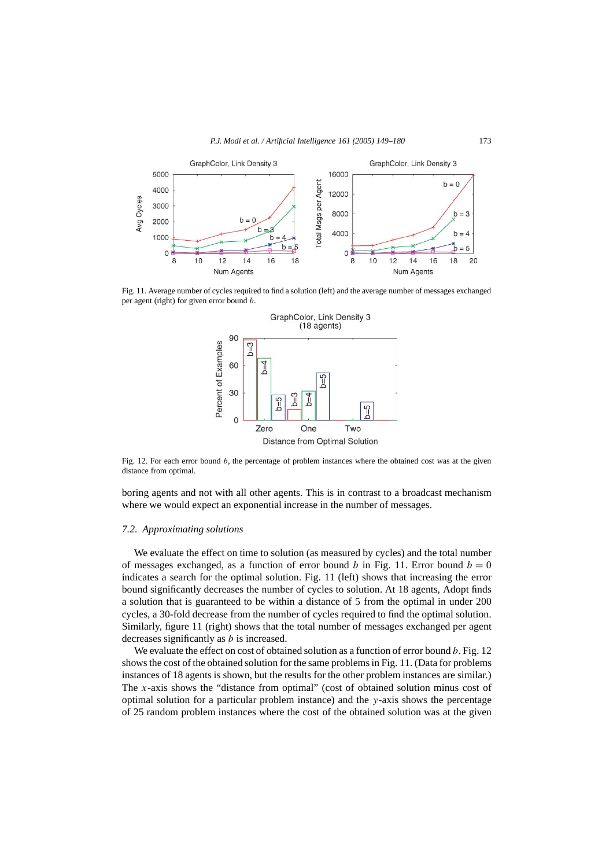

Fig. 11. Average number of cycles required to find a solution (left) and the average number of messages exchanged per agent (right) for given error bound *b*.



Fig. 12. For each error bound *b*, the percentage of problem instances where the obtained cost was at the given distance from optimal.

boring agents and not with all other agents. This is in contrast to a broadcast mechanism where we would expect an exponential increase in the number of messages.

# *7.2. Approximating solutions*

We evaluate the effect on time to solution (as measured by cycles) and the total number of messages exchanged, as a function of error bound *b* in Fig. 11. Error bound  $b = 0$ indicates a search for the optimal solution. Fig. 11 (left) shows that increasing the error bound significantly decreases the number of cycles to solution. At 18 agents, Adopt finds a solution that is guaranteed to be within a distance of 5 from the optimal in under 200 cycles, a 30-fold decrease from the number of cycles required to find the optimal solution. Similarly, figure 11 (right) shows that the total number of messages exchanged per agent decreases significantly as *b* is increased.

We evaluate the effect on cost of obtained solution as a function of error bound *b*. Fig. 12 shows the cost of the obtained solution for the same problems in Fig. 11. (Data for problems instances of 18 agents is shown, but the results for the other problem instances are similar.) The *x*-axis shows the "distance from optimal" (cost of obtained solution minus cost of optimal solution for a particular problem instance) and the *y*-axis shows the percentage of 25 random problem instances where the cost of the obtained solution was at the given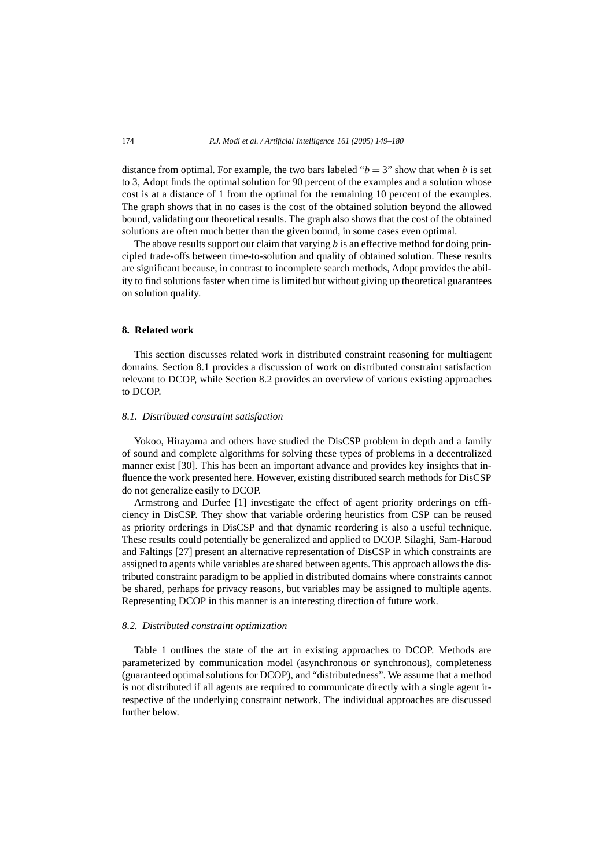distance from optimal. For example, the two bars labeled " $b = 3$ " show that when *b* is set to 3, Adopt finds the optimal solution for 90 percent of the examples and a solution whose cost is at a distance of 1 from the optimal for the remaining 10 percent of the examples. The graph shows that in no cases is the cost of the obtained solution beyond the allowed bound, validating our theoretical results. The graph also shows that the cost of the obtained solutions are often much better than the given bound, in some cases even optimal.

The above results support our claim that varying *b* is an effective method for doing principled trade-offs between time-to-solution and quality of obtained solution. These results are significant because, in contrast to incomplete search methods, Adopt provides the ability to find solutions faster when time is limited but without giving up theoretical guarantees on solution quality.

# **8. Related work**

This section discusses related work in distributed constraint reasoning for multiagent domains. Section 8.1 provides a discussion of work on distributed constraint satisfaction relevant to DCOP, while Section 8.2 provides an overview of various existing approaches to DCOP.

# *8.1. Distributed constraint satisfaction*

Yokoo, Hirayama and others have studied the DisCSP problem in depth and a family of sound and complete algorithms for solving these types of problems in a decentralized manner exist [30]. This has been an important advance and provides key insights that influence the work presented here. However, existing distributed search methods for DisCSP do not generalize easily to DCOP.

Armstrong and Durfee [1] investigate the effect of agent priority orderings on efficiency in DisCSP. They show that variable ordering heuristics from CSP can be reused as priority orderings in DisCSP and that dynamic reordering is also a useful technique. These results could potentially be generalized and applied to DCOP. Silaghi, Sam-Haroud and Faltings [27] present an alternative representation of DisCSP in which constraints are assigned to agents while variables are shared between agents. This approach allows the distributed constraint paradigm to be applied in distributed domains where constraints cannot be shared, perhaps for privacy reasons, but variables may be assigned to multiple agents. Representing DCOP in this manner is an interesting direction of future work.

### *8.2. Distributed constraint optimization*

Table 1 outlines the state of the art in existing approaches to DCOP. Methods are parameterized by communication model (asynchronous or synchronous), completeness (guaranteed optimal solutions for DCOP), and "distributedness". We assume that a method is not distributed if all agents are required to communicate directly with a single agent irrespective of the underlying constraint network. The individual approaches are discussed further below.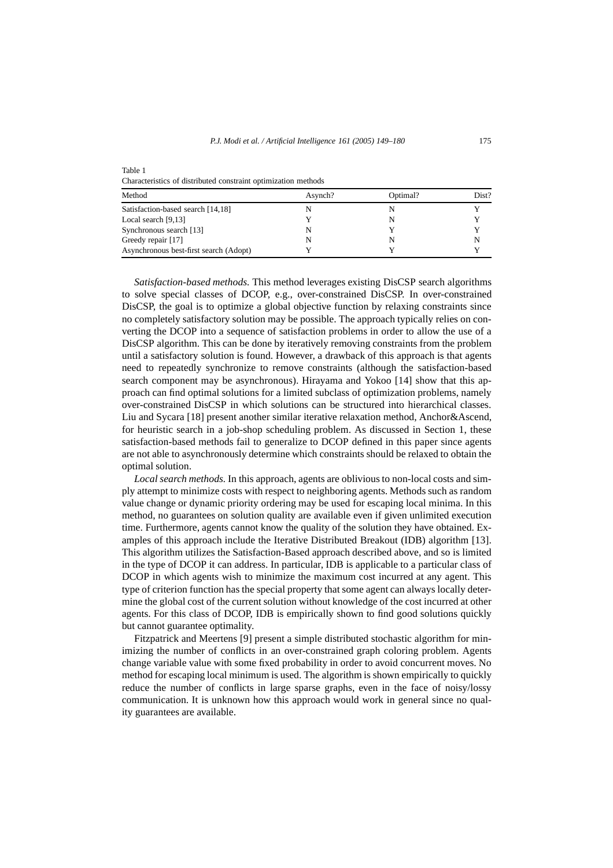| Method                                 | Asynch? | Optimal? | Dist? |
|----------------------------------------|---------|----------|-------|
| Satisfaction-based search [14,18]      |         |          |       |
| Local search $[9,13]$                  |         |          |       |
| Synchronous search [13]                | N       |          |       |
| Greedy repair [17]                     | N       |          | N     |
| Asynchronous best-first search (Adopt) |         |          |       |

Table 1 Characteristics of distributed constraint optimization methods

*Satisfaction-based methods.* This method leverages existing DisCSP search algorithms to solve special classes of DCOP, e.g., over-constrained DisCSP. In over-constrained DisCSP, the goal is to optimize a global objective function by relaxing constraints since no completely satisfactory solution may be possible. The approach typically relies on converting the DCOP into a sequence of satisfaction problems in order to allow the use of a DisCSP algorithm. This can be done by iteratively removing constraints from the problem until a satisfactory solution is found. However, a drawback of this approach is that agents need to repeatedly synchronize to remove constraints (although the satisfaction-based search component may be asynchronous). Hirayama and Yokoo [14] show that this approach can find optimal solutions for a limited subclass of optimization problems, namely over-constrained DisCSP in which solutions can be structured into hierarchical classes. Liu and Sycara [18] present another similar iterative relaxation method, Anchor&Ascend, for heuristic search in a job-shop scheduling problem. As discussed in Section 1, these satisfaction-based methods fail to generalize to DCOP defined in this paper since agents are not able to asynchronously determine which constraints should be relaxed to obtain the optimal solution.

*Local search methods.* In this approach, agents are oblivious to non-local costs and simply attempt to minimize costs with respect to neighboring agents. Methods such as random value change or dynamic priority ordering may be used for escaping local minima. In this method, no guarantees on solution quality are available even if given unlimited execution time. Furthermore, agents cannot know the quality of the solution they have obtained. Examples of this approach include the Iterative Distributed Breakout (IDB) algorithm [13]. This algorithm utilizes the Satisfaction-Based approach described above, and so is limited in the type of DCOP it can address. In particular, IDB is applicable to a particular class of DCOP in which agents wish to minimize the maximum cost incurred at any agent. This type of criterion function has the special property that some agent can always locally determine the global cost of the current solution without knowledge of the cost incurred at other agents. For this class of DCOP, IDB is empirically shown to find good solutions quickly but cannot guarantee optimality.

Fitzpatrick and Meertens [9] present a simple distributed stochastic algorithm for minimizing the number of conflicts in an over-constrained graph coloring problem. Agents change variable value with some fixed probability in order to avoid concurrent moves. No method for escaping local minimum is used. The algorithm is shown empirically to quickly reduce the number of conflicts in large sparse graphs, even in the face of noisy/lossy communication. It is unknown how this approach would work in general since no quality guarantees are available.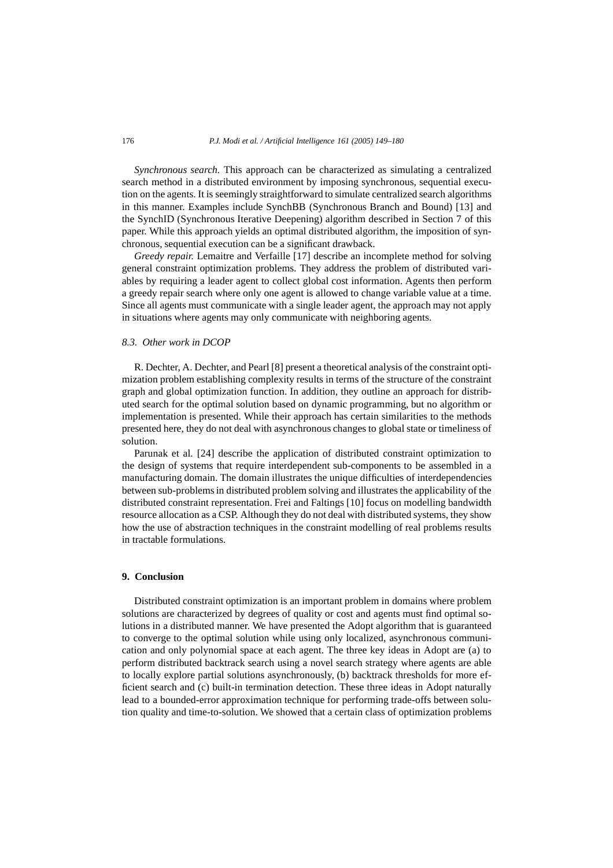*Synchronous search.* This approach can be characterized as simulating a centralized search method in a distributed environment by imposing synchronous, sequential execution on the agents. It is seemingly straightforward to simulate centralized search algorithms in this manner. Examples include SynchBB (Synchronous Branch and Bound) [13] and the SynchID (Synchronous Iterative Deepening) algorithm described in Section 7 of this paper. While this approach yields an optimal distributed algorithm, the imposition of synchronous, sequential execution can be a significant drawback.

*Greedy repair.* Lemaitre and Verfaille [17] describe an incomplete method for solving general constraint optimization problems. They address the problem of distributed variables by requiring a leader agent to collect global cost information. Agents then perform a greedy repair search where only one agent is allowed to change variable value at a time. Since all agents must communicate with a single leader agent, the approach may not apply in situations where agents may only communicate with neighboring agents.

# *8.3. Other work in DCOP*

R. Dechter, A. Dechter, and Pearl [8] present a theoretical analysis of the constraint optimization problem establishing complexity results in terms of the structure of the constraint graph and global optimization function. In addition, they outline an approach for distributed search for the optimal solution based on dynamic programming, but no algorithm or implementation is presented. While their approach has certain similarities to the methods presented here, they do not deal with asynchronous changes to global state or timeliness of solution.

Parunak et al. [24] describe the application of distributed constraint optimization to the design of systems that require interdependent sub-components to be assembled in a manufacturing domain. The domain illustrates the unique difficulties of interdependencies between sub-problems in distributed problem solving and illustrates the applicability of the distributed constraint representation. Frei and Faltings [10] focus on modelling bandwidth resource allocation as a CSP. Although they do not deal with distributed systems, they show how the use of abstraction techniques in the constraint modelling of real problems results in tractable formulations.

# **9. Conclusion**

Distributed constraint optimization is an important problem in domains where problem solutions are characterized by degrees of quality or cost and agents must find optimal solutions in a distributed manner. We have presented the Adopt algorithm that is guaranteed to converge to the optimal solution while using only localized, asynchronous communication and only polynomial space at each agent. The three key ideas in Adopt are (a) to perform distributed backtrack search using a novel search strategy where agents are able to locally explore partial solutions asynchronously, (b) backtrack thresholds for more efficient search and (c) built-in termination detection. These three ideas in Adopt naturally lead to a bounded-error approximation technique for performing trade-offs between solution quality and time-to-solution. We showed that a certain class of optimization problems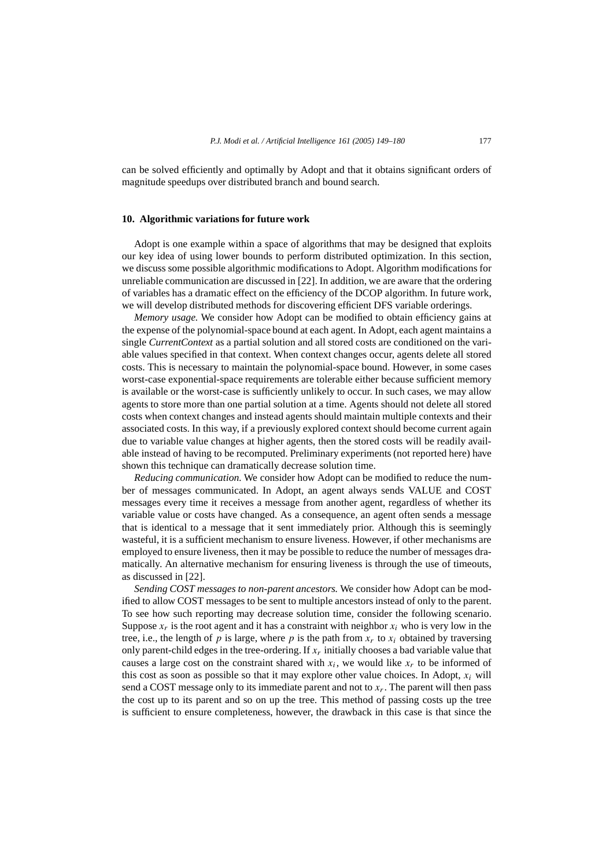can be solved efficiently and optimally by Adopt and that it obtains significant orders of magnitude speedups over distributed branch and bound search.

# **10. Algorithmic variations for future work**

Adopt is one example within a space of algorithms that may be designed that exploits our key idea of using lower bounds to perform distributed optimization. In this section, we discuss some possible algorithmic modifications to Adopt. Algorithm modifications for unreliable communication are discussed in [22]. In addition, we are aware that the ordering of variables has a dramatic effect on the efficiency of the DCOP algorithm. In future work, we will develop distributed methods for discovering efficient DFS variable orderings.

*Memory usage.* We consider how Adopt can be modified to obtain efficiency gains at the expense of the polynomial-space bound at each agent. In Adopt, each agent maintains a single *CurrentContext* as a partial solution and all stored costs are conditioned on the variable values specified in that context. When context changes occur, agents delete all stored costs. This is necessary to maintain the polynomial-space bound. However, in some cases worst-case exponential-space requirements are tolerable either because sufficient memory is available or the worst-case is sufficiently unlikely to occur. In such cases, we may allow agents to store more than one partial solution at a time. Agents should not delete all stored costs when context changes and instead agents should maintain multiple contexts and their associated costs. In this way, if a previously explored context should become current again due to variable value changes at higher agents, then the stored costs will be readily available instead of having to be recomputed. Preliminary experiments (not reported here) have shown this technique can dramatically decrease solution time.

*Reducing communication.* We consider how Adopt can be modified to reduce the number of messages communicated. In Adopt, an agent always sends VALUE and COST messages every time it receives a message from another agent, regardless of whether its variable value or costs have changed. As a consequence, an agent often sends a message that is identical to a message that it sent immediately prior. Although this is seemingly wasteful, it is a sufficient mechanism to ensure liveness. However, if other mechanisms are employed to ensure liveness, then it may be possible to reduce the number of messages dramatically. An alternative mechanism for ensuring liveness is through the use of timeouts, as discussed in [22].

*Sending COST messages to non-parent ancestors.* We consider how Adopt can be modified to allow COST messages to be sent to multiple ancestors instead of only to the parent. To see how such reporting may decrease solution time, consider the following scenario. Suppose  $x_r$  is the root agent and it has a constraint with neighbor  $x_i$  who is very low in the tree, i.e., the length of  $p$  is large, where  $p$  is the path from  $x_r$  to  $x_i$  obtained by traversing only parent-child edges in the tree-ordering. If *xr* initially chooses a bad variable value that causes a large cost on the constraint shared with  $x_i$ , we would like  $x_r$  to be informed of this cost as soon as possible so that it may explore other value choices. In Adopt,  $x_i$  will send a COST message only to its immediate parent and not to  $x_r$ . The parent will then pass the cost up to its parent and so on up the tree. This method of passing costs up the tree is sufficient to ensure completeness, however, the drawback in this case is that since the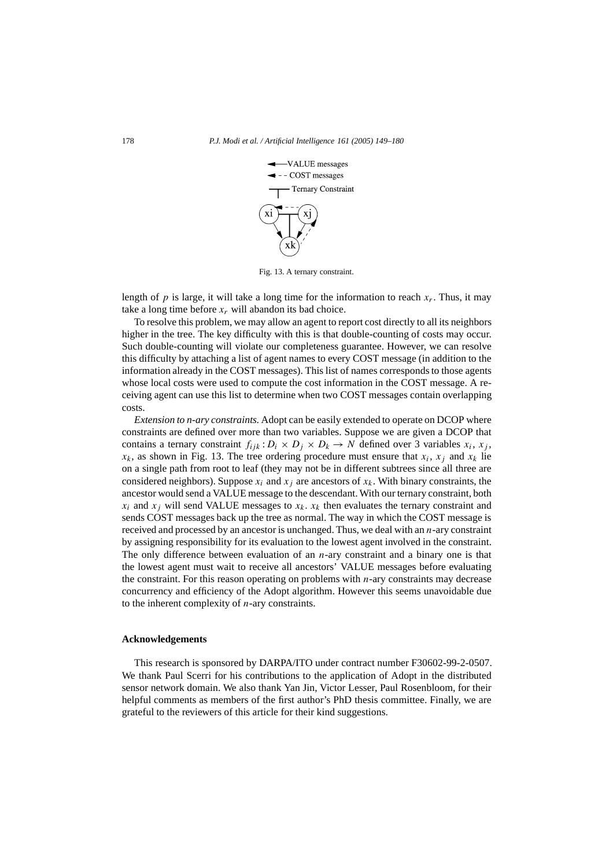

Fig. 13. A ternary constraint.

length of  $p$  is large, it will take a long time for the information to reach  $x_r$ . Thus, it may take a long time before  $x_r$  will abandon its bad choice.

To resolve this problem, we may allow an agent to report cost directly to all its neighbors higher in the tree. The key difficulty with this is that double-counting of costs may occur. Such double-counting will violate our completeness guarantee. However, we can resolve this difficulty by attaching a list of agent names to every COST message (in addition to the information already in the COST messages). This list of names corresponds to those agents whose local costs were used to compute the cost information in the COST message. A receiving agent can use this list to determine when two COST messages contain overlapping costs.

*Extension to n-ary constraints.* Adopt can be easily extended to operate on DCOP where constraints are defined over more than two variables. Suppose we are given a DCOP that contains a ternary constraint  $f_{ijk}: D_i \times D_j \times D_k \to N$  defined over 3 variables  $x_i, x_j$ ,  $x_k$ , as shown in Fig. 13. The tree ordering procedure must ensure that  $x_i$ ,  $x_i$  and  $x_k$  lie on a single path from root to leaf (they may not be in different subtrees since all three are considered neighbors). Suppose  $x_i$  and  $x_j$  are ancestors of  $x_k$ . With binary constraints, the ancestor would send a VALUE message to the descendant. With our ternary constraint, both  $x_i$  and  $x_j$  will send VALUE messages to  $x_k$ .  $x_k$  then evaluates the ternary constraint and sends COST messages back up the tree as normal. The way in which the COST message is received and processed by an ancestor is unchanged. Thus, we deal with an *n*-ary constraint by assigning responsibility for its evaluation to the lowest agent involved in the constraint. The only difference between evaluation of an *n*-ary constraint and a binary one is that the lowest agent must wait to receive all ancestors' VALUE messages before evaluating the constraint. For this reason operating on problems with *n*-ary constraints may decrease concurrency and efficiency of the Adopt algorithm. However this seems unavoidable due to the inherent complexity of *n*-ary constraints.

# **Acknowledgements**

This research is sponsored by DARPA/ITO under contract number F30602-99-2-0507. We thank Paul Scerri for his contributions to the application of Adopt in the distributed sensor network domain. We also thank Yan Jin, Victor Lesser, Paul Rosenbloom, for their helpful comments as members of the first author's PhD thesis committee. Finally, we are grateful to the reviewers of this article for their kind suggestions.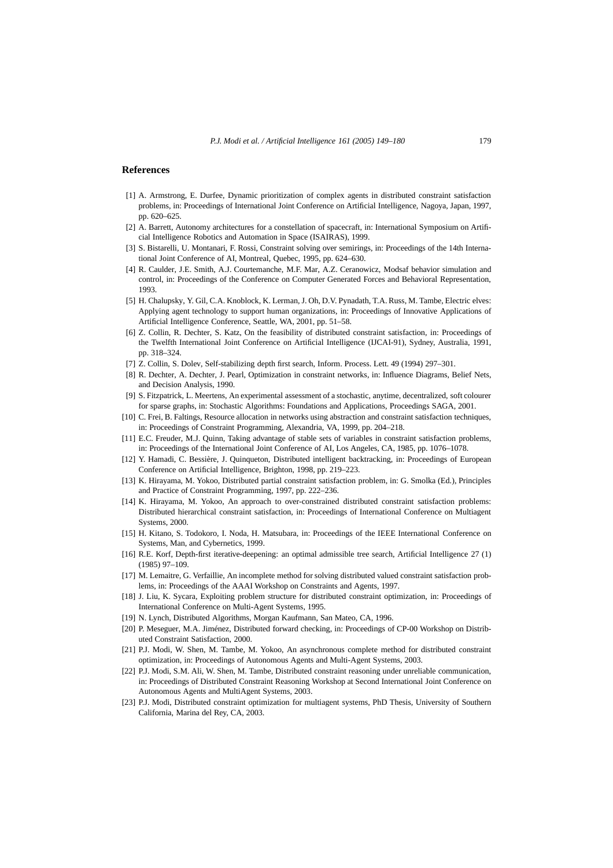# **References**

- [1] A. Armstrong, E. Durfee, Dynamic prioritization of complex agents in distributed constraint satisfaction problems, in: Proceedings of International Joint Conference on Artificial Intelligence, Nagoya, Japan, 1997, pp. 620–625.
- [2] A. Barrett, Autonomy architectures for a constellation of spacecraft, in: International Symposium on Artificial Intelligence Robotics and Automation in Space (ISAIRAS), 1999.
- [3] S. Bistarelli, U. Montanari, F. Rossi, Constraint solving over semirings, in: Proceedings of the 14th International Joint Conference of AI, Montreal, Quebec, 1995, pp. 624–630.
- [4] R. Caulder, J.E. Smith, A.J. Courtemanche, M.F. Mar, A.Z. Ceranowicz, Modsaf behavior simulation and control, in: Proceedings of the Conference on Computer Generated Forces and Behavioral Representation, 1993.
- [5] H. Chalupsky, Y. Gil, C.A. Knoblock, K. Lerman, J. Oh, D.V. Pynadath, T.A. Russ, M. Tambe, Electric elves: Applying agent technology to support human organizations, in: Proceedings of Innovative Applications of Artificial Intelligence Conference, Seattle, WA, 2001, pp. 51–58.
- [6] Z. Collin, R. Dechter, S. Katz, On the feasibility of distributed constraint satisfaction, in: Proceedings of the Twelfth International Joint Conference on Artificial Intelligence (IJCAI-91), Sydney, Australia, 1991, pp. 318–324.
- [7] Z. Collin, S. Dolev, Self-stabilizing depth first search, Inform. Process. Lett. 49 (1994) 297–301.
- [8] R. Dechter, A. Dechter, J. Pearl, Optimization in constraint networks, in: Influence Diagrams, Belief Nets, and Decision Analysis, 1990.
- [9] S. Fitzpatrick, L. Meertens, An experimental assessment of a stochastic, anytime, decentralized, soft colourer for sparse graphs, in: Stochastic Algorithms: Foundations and Applications, Proceedings SAGA, 2001.
- [10] C. Frei, B. Faltings, Resource allocation in networks using abstraction and constraint satisfaction techniques, in: Proceedings of Constraint Programming, Alexandria, VA, 1999, pp. 204–218.
- [11] E.C. Freuder, M.J. Quinn, Taking advantage of stable sets of variables in constraint satisfaction problems, in: Proceedings of the International Joint Conference of AI, Los Angeles, CA, 1985, pp. 1076–1078.
- [12] Y. Hamadi, C. Bessière, J. Quinqueton, Distributed intelligent backtracking, in: Proceedings of European Conference on Artificial Intelligence, Brighton, 1998, pp. 219–223.
- [13] K. Hirayama, M. Yokoo, Distributed partial constraint satisfaction problem, in: G. Smolka (Ed.), Principles and Practice of Constraint Programming, 1997, pp. 222–236.
- [14] K. Hirayama, M. Yokoo, An approach to over-constrained distributed constraint satisfaction problems: Distributed hierarchical constraint satisfaction, in: Proceedings of International Conference on Multiagent Systems, 2000.
- [15] H. Kitano, S. Todokoro, I. Noda, H. Matsubara, in: Proceedings of the IEEE International Conference on Systems, Man, and Cybernetics, 1999.
- [16] R.E. Korf, Depth-first iterative-deepening: an optimal admissible tree search, Artificial Intelligence 27 (1) (1985) 97–109.
- [17] M. Lemaitre, G. Verfaillie, An incomplete method for solving distributed valued constraint satisfaction problems, in: Proceedings of the AAAI Workshop on Constraints and Agents, 1997.
- [18] J. Liu, K. Sycara, Exploiting problem structure for distributed constraint optimization, in: Proceedings of International Conference on Multi-Agent Systems, 1995.
- [19] N. Lynch, Distributed Algorithms, Morgan Kaufmann, San Mateo, CA, 1996.
- [20] P. Meseguer, M.A. Jiménez, Distributed forward checking, in: Proceedings of CP-00 Workshop on Distributed Constraint Satisfaction, 2000.
- [21] P.J. Modi, W. Shen, M. Tambe, M. Yokoo, An asynchronous complete method for distributed constraint optimization, in: Proceedings of Autonomous Agents and Multi-Agent Systems, 2003.
- [22] P.J. Modi, S.M. Ali, W. Shen, M. Tambe, Distributed constraint reasoning under unreliable communication, in: Proceedings of Distributed Constraint Reasoning Workshop at Second International Joint Conference on Autonomous Agents and MultiAgent Systems, 2003.
- [23] P.J. Modi, Distributed constraint optimization for multiagent systems, PhD Thesis, University of Southern California, Marina del Rey, CA, 2003.